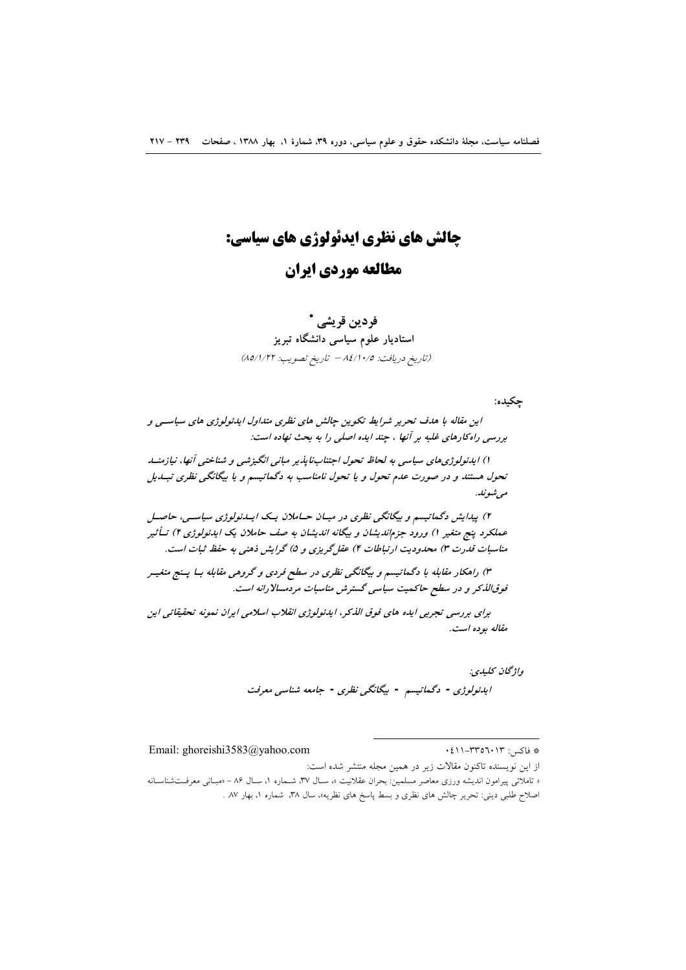# چالش های نظری ایدئولوژی های سیاسی: مطالعه موردي ايران

## فردين قريشي \* استادیار علوم سیاسی دانشگاه تبریز (تاريخ دريافت: ١٤/١٠/٥ - تاريخ تصويب: ٨٥/١/٢٢)

چکيده:

این مقاله با هدف تحریر شرایط تکوین چالش های نظری متداول ایدئولوژی های سیاستی و بررسی راه کارهای غلبه بر آنها ، چند ایده اصلی را به بحث نهاده است:

۱) ایدئولوژی های سیاسی به لحاظ تحول اجتنابنایذیر مبانی انگیزشی و شناختی آنها، نیازمنسد تحول هستند و در صورت عدم تحول و یا تحول نامناسب به دگماتیسم و یا بیگانگی نظری تبـدیل مې شونله.

۲) پیدایش دگمانیسم و بیگانگی نظری در میـان حــاملان یــک ایــدئولوژی سیاســی، حاصــل عملکرد پنج متغیر ۱) ورود جزم/ندیشان و بیگانه اندیشان به صف حاملان یک ایدئولوژی ۲) تــأثیر مناسبات قدرت ۳) محدودیت ارتباطات ۴) عقل گریزی و ۵) گرایش ذهنی به حفظ ثبات است.

۳) راهکار مقابله با دگماتیسم و بیگانگی نظری در سطح فردی و گروهی مقابله بــا پــنج متغیــر فوق الذكر و در سطح حاكميت سياسي گسترش مناسبات مردمسالارانه است.

برای بررسی تجربی ایده های فوق اللکر، ایدئولوژی انقلاب اسلامی ایران نمونه تحقیقاتی این مقاله بوده است.

> واژگان كليدي: ايدئولوژي - دگماتيسم - بيگانگي نظري - جامعه شناسي معرفت

> > \* فاكس: ٢٣٥٦٠١٣-١١١.

Email: ghoreishi3583@yahoo.com

از این نویسنده تاکنون مقالات زیر در همین مجله منتشر شده است: « تاملاتی پیرامون اندیشه ورزی معاصر مسلمین: بحران عقلانیت »، سـال ۳۷، شــماره ۱، سـال ۸۶ – «مبـانی معرفــتشناسـانه اصلاح طلبی دینی: تحریر چالش های نظری و بسط پاسخ های نظریه»، سال ۳۸، شماره ۱، بهار ۸۷ .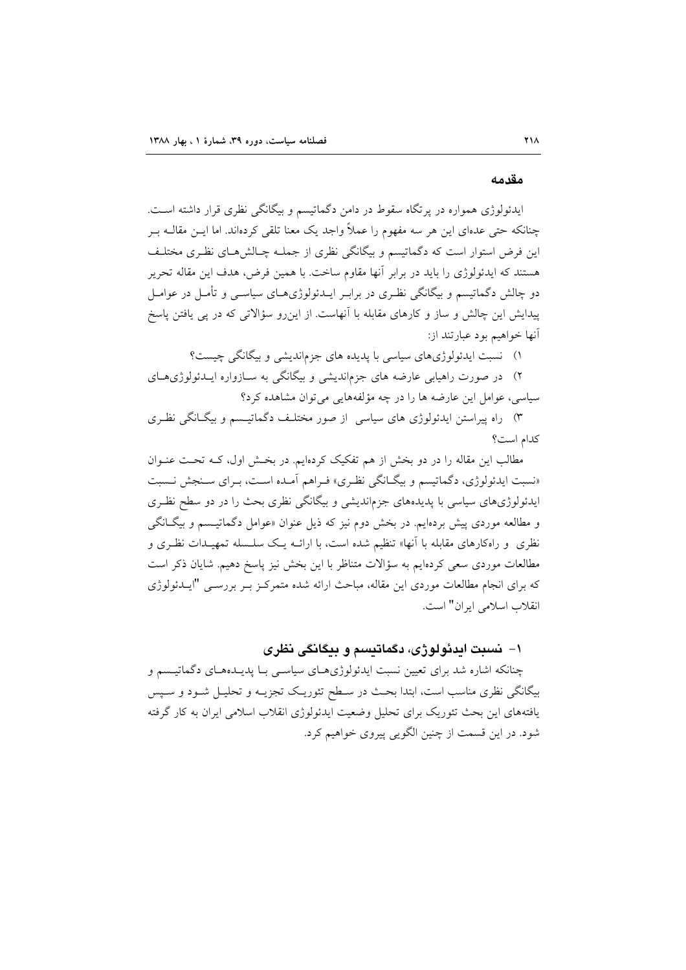#### مقدمه

ایدئولوژی همواره در برتگاه سقوط در دامن دگماتیسم و بیگانگی نظری قرار داشته است. چنانکه حتی عدمای این هر سه مفهوم را عملاً واجد یک معنا تلقی کردماند. اما ایــن مقالــه بــر این فرض استوار است که دگماتیسم و بیگانگی نظری از جملـه چـالش۵حـای نظـری مختلـف هستند که ایدئولوژی را باید در برابر آنها مقاوم ساخت. با همین فرض، هدف این مقاله تحریر دو چالش دگماتیسم و بیگانگی نظـری در برابـر ایــدئولوژیهــای سیاســی و تأمــل در عوامــل پیدایش این چالش و ساز و کارهای مقابله با آنهاست. از این رو سؤالاتی که در پی یافتن پاسخ آنها خواهيم بود عبارتند از:

۱) نسبت ایدئولوژیهای سیاسی با پدیده های جزماندیشی و بیگانگی چیست؟

۲) در صورت راهیابی عارضه های جزماندیشی و بیگانگی به سـازواره ایــدئولوژیهـای سیاسی، عوامل این عارضه ها را در چه مؤلفههایی می توان مشاهده کرد؟

۳) راه پیراستن ایدئولوژی های سیاسی از صور مختلـف دگماتیــسم و بیگــانگی نظـری كدام است؟

مطالب این مقاله را در دو بخش از هم تفکیک کردهایم. در بخش اول، کـه تحـت عنـوان «نسبت ایدئولوژی، دگماتیسم و بیگـانگی نظـری» فـراهم آمـده اسـت، بـرای سـنجش نـسبت ایدئولوژیهای سیاسی با پدیدههای جزم|ندیشی و بیگانگی نظری بحث را در دو سطح نظـری و مطالعه موردی پیش بردهایم. در بخش دوم نیز که ذیل عنوان «عوامل دگماتیـسم و بیگـانگی نظری و راهکارهای مقابله با آنها» تنظیم شده است، با ارائــه یـک سلــسله تمهیــدات نظـری و مطالعات موردی سعی کردهایم به سؤالات متناظر با این بخش نیز پاسخ دهیم. شایان ذکر است که برای انجام مطالعات موردی این مقاله، مباحث ارائه شده متمرکـز بـر بررسـی "ایــدئولوژی انقلاب اسلامی ایران" است.

#### ۱– نسبت ابدئولوژی، دگماتیسم و بیگانگی نظری

چنانکه اشاره شد برای تعیین نسبت ایدئولوژیهای سیاسـی بـا پدیـدههـای دگماتیـسم و بیگانگی نظری مناسب است، ابتدا بحث در سـطح تئوریـک تجزیــه و تحلیــل شــود و ســپس یافتههای این بحث تئوریک برای تحلیل وضعیت ایدئولوژی انقلاب اسلامی ایران به کار گرفته شود. در این قسمت از چنین الگویی پیروی خواهیم کرد.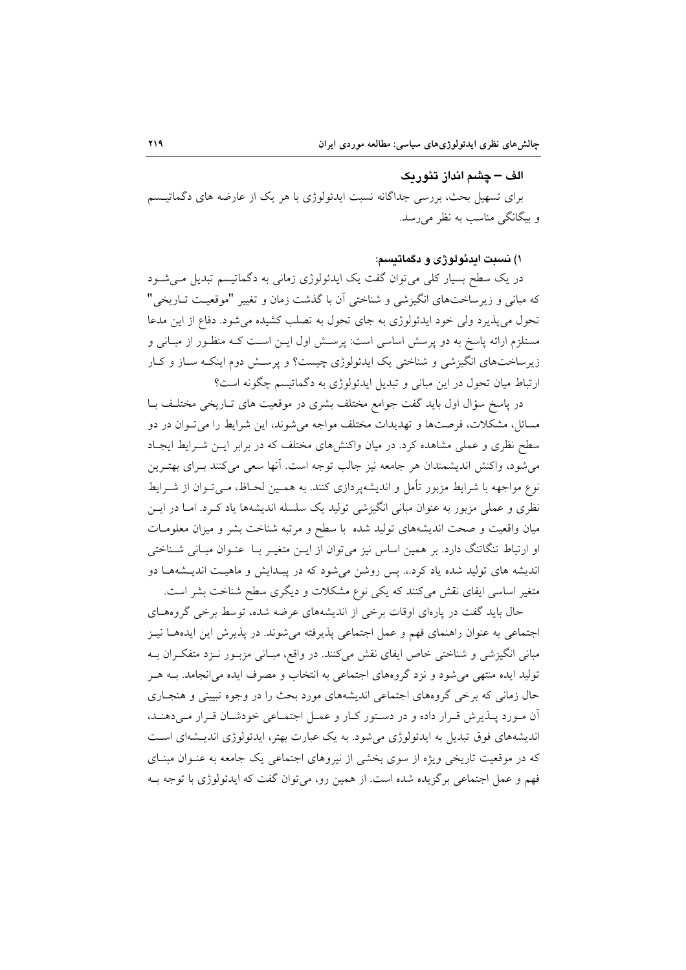الف – چشم انداز تئوربک برای تسهیل بحث، بررسی جداگانه نسبت ایدئولوژی با هر یک از عارضه های دگماتیــــم و بیگانگی مناسب به نظر می رسد.

۱) نسبت ایدئولوژی و دگماتیسم:

در یک سطح بسیار کلی می توان گفت یک ایدئولوژی زمانی به دگماتیسم تبدیل می شود که مبانی و زیرساختهای انگیزشی و شناختی آن با گذشت زمان و تغییر "موقعیت تباریخی" تحول می پذیرد ولی خود ایدئولوژی به جای تحول به تصلب کشیده می شود. دفاع از این مدعا مستلزم ارائه پاسخ به دو پرسش اساسی است: پرسـش اول ایــن اســت کــه منظــور از مبــانی و زیرساختهای انگیزشی و شناختی یک ایدئولوژی چیست؟ و پرسش دوم اینک ساز و کبار ارتباط میان تحول در این مبانی و تبدیل ایدئولوژی به دگماتیسم چگونه است؟

در پاسخ سؤال اول باید گفت جوامع مختلف بشری در موقعیت های تـاریخی مختلـف بـا مسائل، مشکلات، فرصتها و تهدیدات مختلف مواجه می شوند، این شرایط را می تـوان در دو سطح نظری و عملی مشاهده کرد. در میان واکنشهای مختلف که در برابر ایـن شـرایط ایجـاد می شود، واکنش اندیشمندان هر جامعه نیز جالب توجه است. آنها سعی میکنند بـرای بهتـرین نوع مواجهه با شرایط مزبور تأمل و اندیشهپردازی کنند. به همـین لحـاظ، مـی تـوان از شـرایط نظری و عملی مزبور به عنوان مبانی انگیزشی تولید یک سلسله اندیشهها یاد کـرد. امــا در ایــن میان واقعیت و صحت اندیشههای تولید شده با سطح و مرتبه شناخت بشر و میزان معلومات او ارتباط تنگاتنگ دارد. بر همین اساس نیز می توان از ایـن متغیـر بـا عنـوان مبـانی شـناختی اندیشه های تولید شده یاد کرد.. پس روشن می شود که در پیدایش و ماهیت اندیشهها دو متغیر اساسی ایفای نقش میکنند که یکی نوع مشکلات و دیگری سطح شناخت بشر است.

حال باید گفت در پارهای اوقات برخی از اندیشههای عرضه شده، توسط برخی گروههای اجتماعی به عنوان راهنمای فهم و عمل اجتماعی پذیرفته میشوند. در پذیرش این ایدههـا نیـز مبانی انگیزشی و شناختی خاص ایفای نقش میکنند. در واقع، مبـانی مزبـور نـزد متفکـران بـه تولید ایده منتهی می شود و نزد گروههای اجتماعی به انتخاب و مصرف ایده می انجامد. بــه هـر حال زمانی که برخی گروههای اجتماعی اندیشههای مورد بحث را در وجوه تبیینی و هنجـاری آن مورد پلذیرش قرار داده و در دستور کار و عمل اجتماعی خودشان قرار میدهند، اندیشههای فوق تبدیل به ایدئولوژی می شود. به یک عبارت بهتر، ایدئولوژی اندیــشهای اســت که در موقعیت تاریخی ویژه از سوی بخشی از نیروهای اجتماعی یک جامعه به عنـوان مبنـای فهم و عمل اجتماعی برگزیده شده است. از همین رو، می توان گفت که ایدئولوژی با توجه بـه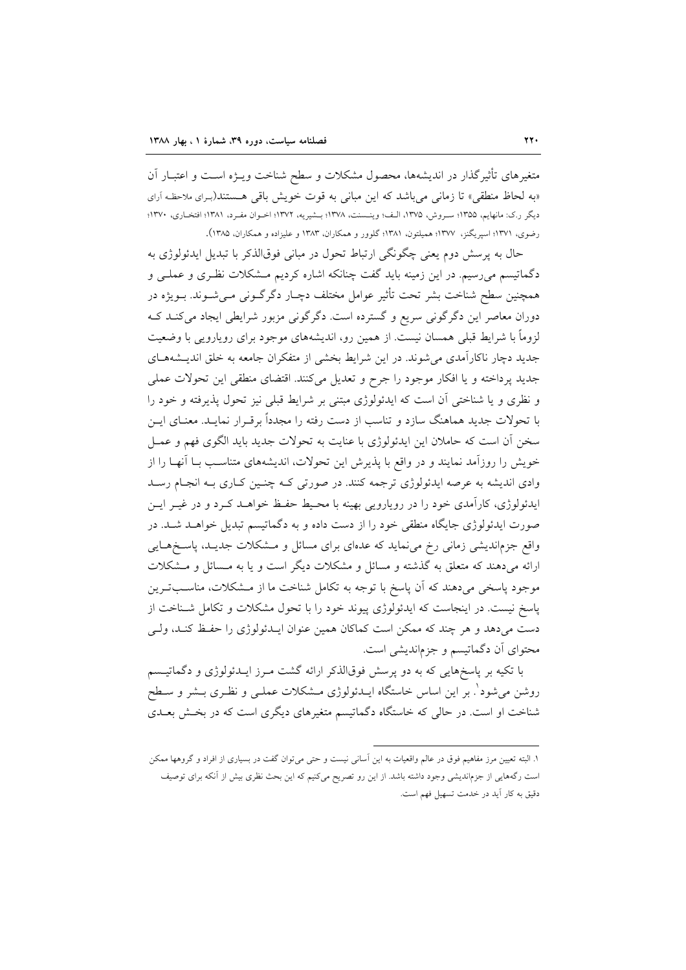متغیرهای تأثیرگذار در اندیشهها، محصول مشکلات و سطح شناخت ویــژه اســت و اعتبــار آن «به لحاظ منطقی» تا زمانی می باشد که این مبانی به قوت خویش باقی هستند(برای ملاحظه آرای ديگر ر.ک: مانهايم، ١٣٥٥؛ سـروش، ١٣٧٥، الـف؛ وينـسنت، ١٣٧٨؛ بـشيريه، ١٣٧٢؛ اخـوان مفـرد، ١٣٨١؛ افتخـاري، ١٣٧٠؛ رضوی، ۱۳۷۱؛ اسیریگنز، ۱۳۷۷؛ همیلتون، ۱۳۸۱؛ گلوور و همکاران، ۱۳۸۳ و علیزاده و همکاران، ۱۳۸۵).

حال به پرسش دوم یعنی چگونگی ارتباط تحول در مبانی فوقالذکر با تبدیل ایدئولوژی به دگماتیسم میرسیم. در این زمینه باید گفت چنانکه اشاره کردیم مـشکلات نظـری و عملـی و همچنین سطح شناخت بشر تحت تأثیر عوامل مختلف دچـار دگرگــونی مــیشــوند. بــویژه در دوران معاصر این دگرگونی سریع و گسترده است. دگرگونی مزبور شرایطی ایجاد میکنـد کـه لزوماً با شرایط قبلی همسان نیست. از همین رو، اندیشههای موجود برای رویارویی با وضعیت جدید دچار ناکارآمدی می شوند. در این شرایط بخشی از متفکران جامعه به خلق اندیـشههـای جدید پرداخته و یا افکار موجود را جرح و تعدیل میکنند. اقتضای منطقی این تحولات عملی و نظري و يا شناختي أن است كه ايدئولوژي مبتني بر شرايط قبلي نيز تحول يذيرفته و خود را با تحولات جدید هماهنگ سازد و تناسب از دست رفته را مجدداً برقـرار نمایـد. معنـای ایــن سخن آن است که حاملان این ایدئولوژی با عنایت به تحولات جدید باید الگوی فهم و عمـل خویش را روزآمد نمایند و در واقع با پذیرش این تحولات، اندیشههای متناسب بـا آنهـا را از وادی اندیشه به عرصه ایدئولوژی ترجمه کنند. در صورتی ک چنین کاری بـه انجـام رسـد ایدئولوژی، کارآمدی خود را در رویارویی بهینه با محیط حفظ خواهـد کـرد و در غیـر ایـن صورت ایدئولوژی جایگاه منطقی خود را از دست داده و به دگماتیسم تبدیل خواهـد شـد. در واقع جزماندیشی زمانی رخ می نماید که عدهای برای مسائل و مشکلات جدیـد، پاسـخهـایی ارائه میدهند که متعلق به گذشته و مسائل و مشکلات دیگر است و یا به مـسائل و مـشکلات موجود پاسخی میدهند که اَن پاسخ با توجه به تکامل شناخت ما از مـشکلات، مناسـبتــرین پاسخ نیست. در اینجاست که ایدئولوژی پیوند خود را با تحول مشکلات و تکامل شـناخت از دست میدهد و هر چند که ممکن است کماکان همین عنوان ایــدئولوژی را حفـظ کنـد، ولــم محتوای آن دگماتیسم و جزماندیشی است.

با تکیه بر پاسخهایی که به دو پرسش فوقالذکر ارائه گشت مـرز ایــدئولوژی و دگماتیــسم روشن می شود ْ. بر این اساس خاستگاه ایــدئولوژی مــشکلات عملــی و نظـری بــشر و ســطح شناخت او است. در حالی که خاستگاه دگماتیسم متغیرهای دیگری است که در بخش بعــدی

١. البته تعيين مرز مفاهيم فوق در عالم واقعيات به اين آساني نيست و حتى مي توان گفت در بسياري از افراد و گروهها ممكن است رگههایی از جزماندیشی وجود داشته باشد. از این رو تصریح میکنیم که این بحث نظری بیش از آنکه برای توصیف دقیق به کار آید در خدمت تسهیل فهم است.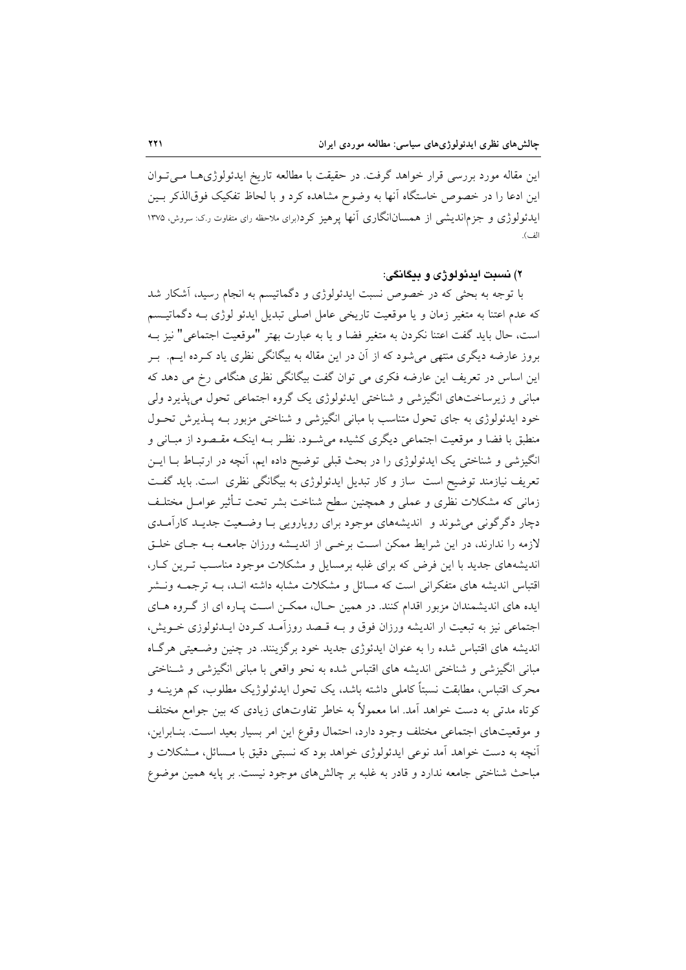این مقاله مورد بررسی قرار خواهد گرفت. در حقیقت با مطالعه تاریخ ایدئولوژیهـا مـیتوان این ادعا را در خصوص خاستگاه آنها به وضوح مشاهده کرد و با لحاظ تفکیک فوقالذکر بـین ایدئولوژی و جزم اندیشی از همسان انگاری آنها پرهیز کرد(برای ملاحظه رای متفاوت ر.ک: سروش، ۱۳۷۵ الف).

#### ۲) نسېټ اېږئولو ژي و پېڅانگې:

با توجه به بحثی که در خصوص نسبت ایدئولوژی و دگماتیسم به انجام رسید، آشکار شد که عدم اعتنا به متغیر زمان و یا موقعیت تاریخی عامل اصلی تبدیل ایدئو لوژی بـه دگماتیـسم است، حال بايد گفت اعتنا نكردن به متغير فضا و يا به عبارت بهتر "موقعيت اجتماعي" نيز بـه بروز عارضه دیگری منتهی می شود که از آن در این مقاله به بیگانگی نظری یاد کـرده ایــم. بــر این اساس در تعریف این عارضه فکری می توان گفت بیگانگی نظری هنگامی رخ می دهد که مباني و زيرساختهاي انگيزشي و شناختي ايدئولوژي يک گروه اجتماعي تحول مي پذيرد ولي خود ایدئولوژی به جای تحول متناسب با مبانی انگیزشی و شناختی مزبور بـه پــذیرش تحـول منطبق با فضا و موقعیت اجتماعی دیگری کشیده میشود. نظـر بـه اینکـه مقـصود از مبـانی و انگیزشی و شناختی یک ایدئولوژی را در بحث قبلی توضیح داده ایم، آنچه در ارتبـاط بــا ایــن تعریف نیازمند توضیح است ً ساز و کار تبدیل ایدئولوژی به بیگانگی نظری است. باید گفت زمانی که مشکلات نظری و عملی و همچنین سطح شناخت بشر تحت تـأثیر عوامـل مختلـف دچار دگرگونی می شوند و اندیشههای موجود برای رویارویی بـا وضـعیت جدیـد کارآمـدی لازمه را ندارند، در این شرایط ممکن است برخمی از اندیـشه ورزان جامعـه بـه جـای خلـق اندیشههای جدید با این فرض که برای غلبه برمسایل و مشکلات موجود مناسب تـرین کـار، اقتباس اندیشه های متفکرانی است که مسائل و مشکلات مشابه داشته انـد، بــه ترجمــه ونــشر ایده های اندیشمندان مزبور اقدام کنند. در همین حـال، ممکـن اسـت پـاره ای از گـروه هـای اجتماعی نیز به تبعیت ار اندیشه ورزان فوق و بـه قـصد روزآمـد کـردن ایـدئولوزی خـویش، اندیشه های اقتباس شده را به عنوان ایدئوژی جدید خود برگزینند. در چنین وضعیتی هرگIه مبانی انگیزشی و شناختی اندیشه های اقتباس شده به نحو واقعی با مبانی انگیزشی و شــناختی محرک اقتباس، مطابقت نسبتاً کاملی داشته باشد، یک تحول ایدئولوژیک مطلوب، کم هزینــه و کوتاه مدتی به دست خواهد آمد. اما معمولاً به خاطر تفاوتهای زیادی که بین جوامع مختلف و موقعیتهای اجتماعی مختلف وجود دارد، احتمال وقوع این امر بسیار بعید است. بنـابراین، آنچه به دست خواهد آمد نوعی ایدئولوژی خواهد بود که نسبتی دقیق با مـسائل، مـشکلات و مباحث شناختی جامعه ندارد و قادر به غلبه بر چالشهای موجود نیست. بر پایه همین موضوع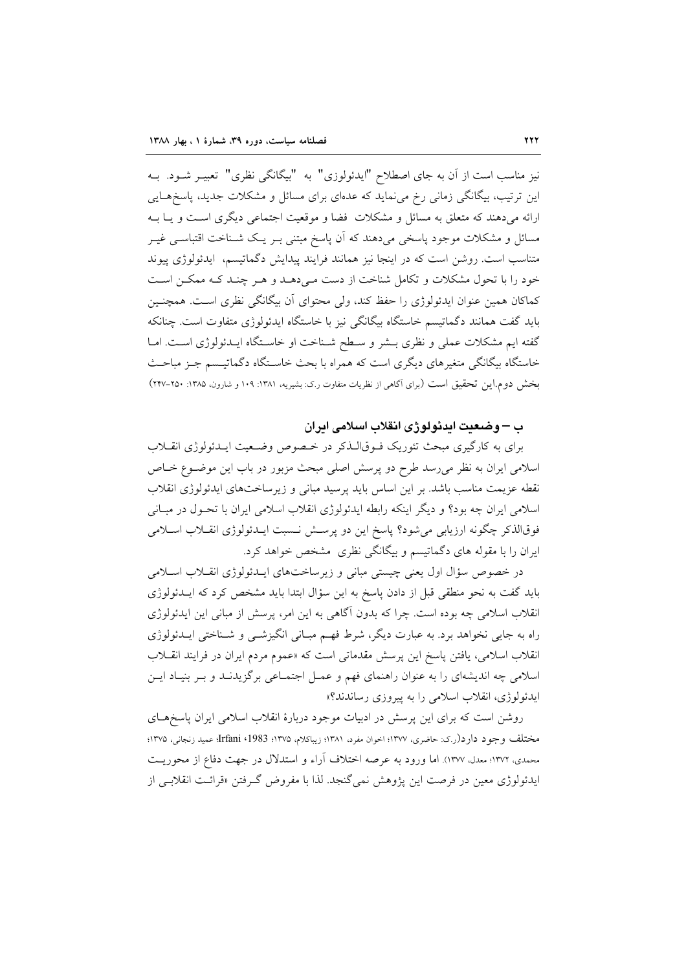نیز مناسب است از آن به جای اصطلاح "ایدئولوزی" به "بیگانگی نظری" تعبیـر شــود. بــه این ترتیب، بیگانگی زمانی رخ می نماید که عدمای برای مسائل و مشکلات جدید، پاسخهـایی ارائه میدهند که متعلق به مسائل و مشکلات فضا و موقعیت اجتماعی دیگری است و یـا بـه مسائل و مشکلات موجود پاسخی میدهند که آن پاسخ مبتنی بـر یـک شــناخت اقتباســی غیــر متناسب است. روشن است که در اینجا نیز همانند فرایند پیدایش دگماتیسم، ایدئولوژی پیوند خود را با تحول مشکلات و تکامل شناخت از دست مـی۵هـد و هـر چنـد کـه ممکـن اسـت كماكان همين عنوان ايدئولوژي را حفظ كند، ولي محتواي أن بيگانگي نظري است. همچنـين باید گفت همانند دگماتیسم خاستگاه بیگانگی نیز با خاستگاه ایدئولوژی متفاوت است. چنانکه گفته ایم مشکلات عملی و نظری بـشر و سـطح شـناخت او خاسـتگاه ایـدئولوژی اسـت. امـا خاستگاه بیگانگی متغیرهای دیگری است که همراه با بحث خاسـتگاه دگماتیـسم جـز مباحـث بخش دوم.این تحقیق است (برای آگاهی از نظریات متفاوت ر.ک: بشیریه، ۱۳۸۱: ۱۰۹ و شارون، ۱۳۸۵: ۲۵۰-۲۴۷)

### ب – وضعیت ایدئولوژی انقلاب اسلامی ایران

برای به کارگیری مبحث تئوریک فـوقالـذکر در خـصوص وضـعیت ایـدئولوژی انقــلاب اسلامی ایران به نظر می رسد طرح دو پرسش اصلی مبحث مزبور در باب این موضـوع خـاص نقطه عزیمت مناسب باشد. بر این اساس باید پرسید مبانی و زیرساختهای ایدئولوژی انقلاب اسلامی ایران چه بود؟ و دیگر اینکه رابطه ایدئولوژی انقلاب اسلامی ایران با تحـول در مبـانی فوقالذکر چگونه ارزیابی میشود؟ پاسخ این دو پرســش نــسبت ایــدئولوژی انقــلاب اســلامی ایران را با مقوله های دگماتیسم و بیگانگی نظری مشخص خواهد کرد.

در خصوص سؤال اول یعنی چیستی مبانی و زیرساختهای ایـدئولوژی انقـلاب اسـلامی باید گفت به نحو منطقی قبل از دادن پاسخ به این سؤال ابتدا باید مشخص کرد که ایــدئولوژی انقلاب اسلامی چه بوده است. چرا که بدون آگاهی به این امر، پرسش از مبانی این ایدئولوژی راه به جایی نخواهد برد. به عبارت دیگر، شرط فهـم مبـانی انگیزشــی و شــناختی ایــدئولوژی انقلاب اسلامی، یافتن یاسخ این پرسش مقدماتی است که «عموم مردم ایران در فرایند انقــلاب اسلامی چه اندیشهای را به عنوان راهنمای فهم و عمـل اجتمـاعی برگزیدنـد و بـر بنيـاد ايـن ايدئولوژى، انقلاب اسلامى را به پيروزى رساندند؟»

روشن است که برای این پرسش در ادبیات موجود دربارهٔ انقلاب اسلامی ایران پاسخهای مختلف وجود دارد(ر.ي: حاضري، ١٣٧٧؛ اخوان مفرد، ١٣٨١؛ زيباكلام، ١٣٧۵؛ Irfani ، 1983، عميد زنجاني، ١٣٧٥؛ محمدي، ١٣٧٢؛ معدل، ١٣٧٧). اما ورود به عرصه اختلاف آراء و استدلال در جهت دفاع از محوريت ايدئولوژي معين در فرصت اين پژوهش نمي گنجد. لذا با مفروض گرفتن «قرائت انقلابـي از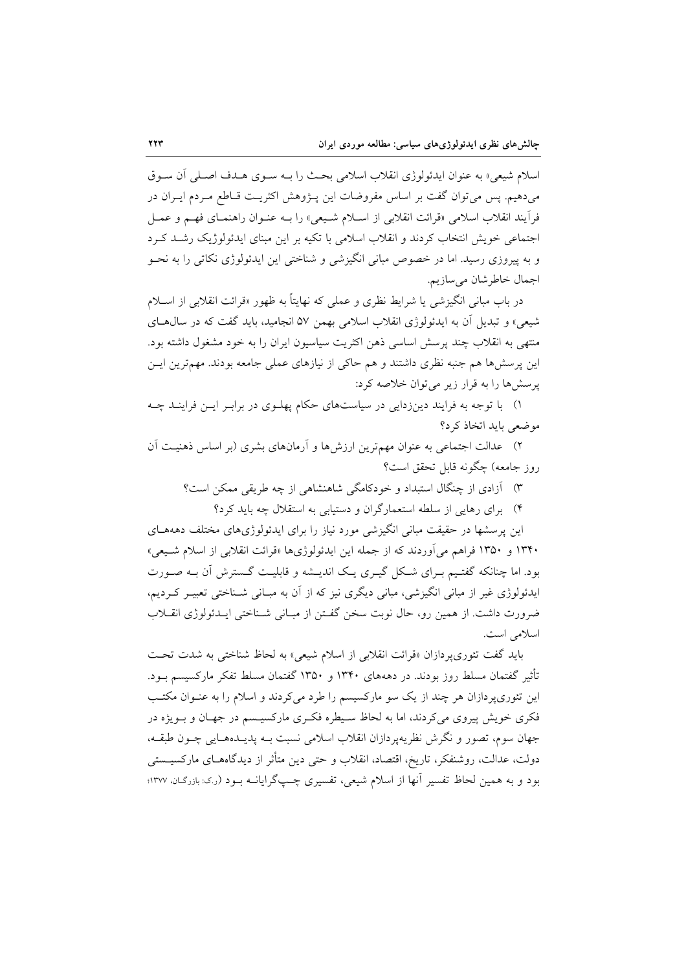اسلام شيعي» به عنوان ايدئولوژي انقلاب اسلامي بحث را بـه سـوى هـدف اصـلي أن سـوق می دهیم. پس می توان گفت بر اساس مفروضات این پیژوهش اکثریت قیاطع میردم ایبران در فرأيند انقلاب اسلامي «قرائت انقلابي از اسـلام شـيعي» را بــه عنــوان راهنمــاي فهــم و عمــل اجتماعی خویش انتخاب کردند و انقلاب اسلامی با تکیه بر این مبنای ایدئولوژیک رشـد کـرد و به پیروزی رسید. اما در خصوص مبانی انگیزشی و شناختی این ایدئولوژی نکاتی را به نحــو اجمال خاطرشان مىسازيم.

در باب مبانی انگیزشی یا شرایط نظری و عملی که نهایتاً به ظهور «قرائت انقلابی از اسـلام شیعی» و تبدیل آن به ایدئولوژی انقلاب اسلامی بهمن ۵۷ انجامید، باید گفت که در سال هــای منتهی به انقلاب چند پرسش اساسی ذهن اکثریت سیاسیون ایران را به خود مشغول داشته بود. این پرسشها هم جنبه نظری داشتند و هم حاکی از نیازهای عملی جامعه بودند. مهمترین ایـن یرسش ها را به قرار زیر می توان خلاصه کرد:

۱) با توجه به فرایند دینزدایی در سیاستهای حکام پهلوی در برابر ایـن فراینـد چـه موضعی باید اتخاذ کرد؟

۲) عدالت اجتماعی به عنوان مهم ترین ارزشها و آرمانهای بشری (بر اساس ذهنیت آن روز جامعه) چگونه قابل تحقق است؟

۳) آزادی از چنگال استبداد و خودکامگی شاهنشاهی از چه طریقی ممکن است؟

۴) برای رهایی از سلطه استعمارگران و دستیابی به استقلال چه باید کرد؟

این پرسشها در حقیقت مبانی انگیزشی مورد نیاز را برای ایدئولوژیهای مختلف دهههـای ۱۳۴۰ و ۱۳۵۰ فراهم می آوردند که از جمله این ایدئولوژیها «قرائت انقلابی از اسلام شـیعی» بود. اما چنانکه گفتـیم بـرای شـکل گیـری یـک اندیـشه و قابلیـت گـسترش آن بـه صـورت ایدئولوژی غیر از مبانی انگیزشی، مبانی دیگری نیز که از آن به مبـانی شـناختی تعبیـر کـردیم، ضرورت داشت. از همین رو، حال نوبت سخن گفـتن از مبـانی شـناختی ایـدئولوژی انقــلاب اسلامی است.

بايد گفت تئوري پردازان «قرائت انقلابي از اسلام شيعي» به لحاظ شناختي به شدت تحت تأثیر گفتمان مسلط روز بودند. در دهههای ۱۳۴۰ و ۱۳۵۰ گفتمان مسلط تفکر مارکسیسم بـود. این تئوریپردازان هر چند از یک سو مارکسیسم را طرد میکردند و اسلام را به عنـوان مکتـب فکری خویش پیروی می کردند، اما به لحاظ سـیطره فکـری مارکسیـسم در جهـان و بـویژه در جهان سوم، تصور و نگرش نظريهيردازان انقلاب اسلامي نسبت بـه پديــدهـمــايي چــون طبقــه، دولت، عدالت، روشنفکر، تاریخ، اقتصاد، انقلاب و حتی دین متأثر از دیدگاههـای مارکسیــستم ِ بود و به همین لحاظ تفسیر آنها از اسلام شیعی، تفسیری چـپگرایانــه بــود (ر.ک: بازرگـان، ۱۳۷۷؛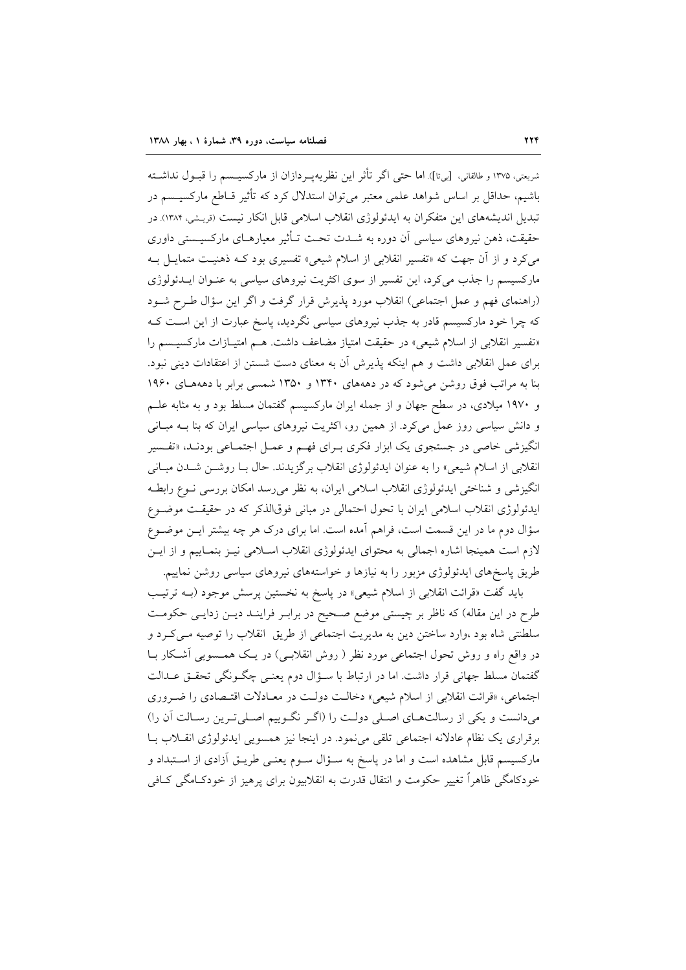شريعتي، ١٣٧٥ و طالقاني، [بي¤]). اما حتى اگر تأثر اين نظريهپـردازان از ماركسيــسم را قبــول نداشــته باشیم، حداقل بر اساس شواهد علمی معتبر می توان استدلال کرد که تأثیر قـاطع مارکسیــسم در تبدیل اندیشههای این متفکران به ایدئولوژی انقلاب اسلامی قابل انکار نیست (فریشی، ۱۳۸۴) در حقیقت، ذهن نیروهای سیاسی آن دوره به شــدت تحــت تــأثیر معیارهــای مارکسیــستی داوری میکرد و از آن جهت که «تفسیر انقلابی از اسلام شیعی» تفسیری بود کـه ذهنیـت متمایـل بـه مارکسیسم را جذب میکرد، این تفسیر از سوی اکثریت نیروهای سیاسی به عنـوان ایــدئولوژی (راهنمای فهم و عمل اجتماعی) انقلاب مورد پذیرش قرار گرفت و اگر این سؤال طـرح شـود که چرا خود مارکسیسم قادر به جذب نیروهای سیاسی نگردید، پاسخ عبارت از این است ک «تفسیر انقلابی از اسلام شیعی» در حقیقت امتیاز مضاعف داشت. هـم امتیـازات مارکسیـسم را برای عمل انقلابی داشت و هم اینکه پذیرش آن به معنای دست شستن از اعتقادات دینی نبود. بنا به مراتب فوق روشن می شود که در دهههای ۱۳۴۰ و ۱۳۵۰ شمسی برابر با دهههای ۱۹۶۰ و ۱۹۷۰ میلادی، در سطح جهان و از جمله ایران مارکسیسم گفتمان مسلط بود و به مثابه علــم و دانش سیاسی روز عمل میکرد. از همین رو، اکثریت نیروهای سیاسی ایران که بنا بـه مبـانی انگیزشی خاصی در جستجوی یک ابزار فکری بـرای فهـم و عمـل اجتمـاعی بودنـد، «تفـسیر انقلابی از اسلام شیعی» را به عنوان ایدئولوژی انقلاب برگزیدند. حال بـا روشـن شـدن مبـانی انگیزشی و شناختی ایدئولوژی انقلاب اسلامی ایران، به نظر می رسد امکان بررسی نــوع رابطــه ایدئولوژی انقلاب اسلامی ایران با تحول احتمالی در مبانی فوقالذکر که در حقیقت موضـوع سؤال دوم ما در این قسمت است، فراهم اَمده است. اما برای درک هر چه بیشتر ایــن موضــوع لازم است همینجا اشاره اجمالی به محتوای ایدئولوژی انقلاب اسـلامی نیـز بنمـاییم و از ایـن طریق پاسخهای ایدئولوژی مزبور را به نیازها و خواستههای نیروهای سیاسی روشن نماییم.

بايد گفت «قرائت انقلابي از اسلام شيعي» در پاسخ به نخستين پرسش موجود (بـه ترتيب طرح در این مقاله) که ناظر بر چیستی موضع صحیح در برابـر فراینـد دیـن زدایـی حکومـت سلطنتی شاه بود ،وارد ساختن دین به مدیریت اجتماعی از طریق انقلاب را توصیه مـیکـرد و در واقع راه و روش تحول اجتماعی مورد نظر ( روش انقلابـی) در یـک همـسویی آشـکار بـا گفتمان مسلط جهانی قرار داشت. اما در ارتباط با سـؤال دوم یعنـی چگـونگی تحقـق عـدالت اجتماعی، «قرائت انقلابی از اسلام شیعی» دخالت دولت در معـادلات اقتـصادی را ضـروری میدانست و یکی از رسالتهای اصلی دولت را (اگر نگوییم اصلی ترین رسالت آن را) برقراری یک نظام عادلانه اجتماعی تلقی می نمود. در اینجا نیز همسویی ایدئولوژی انقـلاب بـا مارکسیسم قابل مشاهده است و اما در پاسخ به سـؤال سـوم یعنـی طریـق آزادی از اسـتبداد و خودکامگی ظاهراً تغییر حکومت و انتقال قدرت به انقلابیون برای پرهیز از خودکـامگی کـافی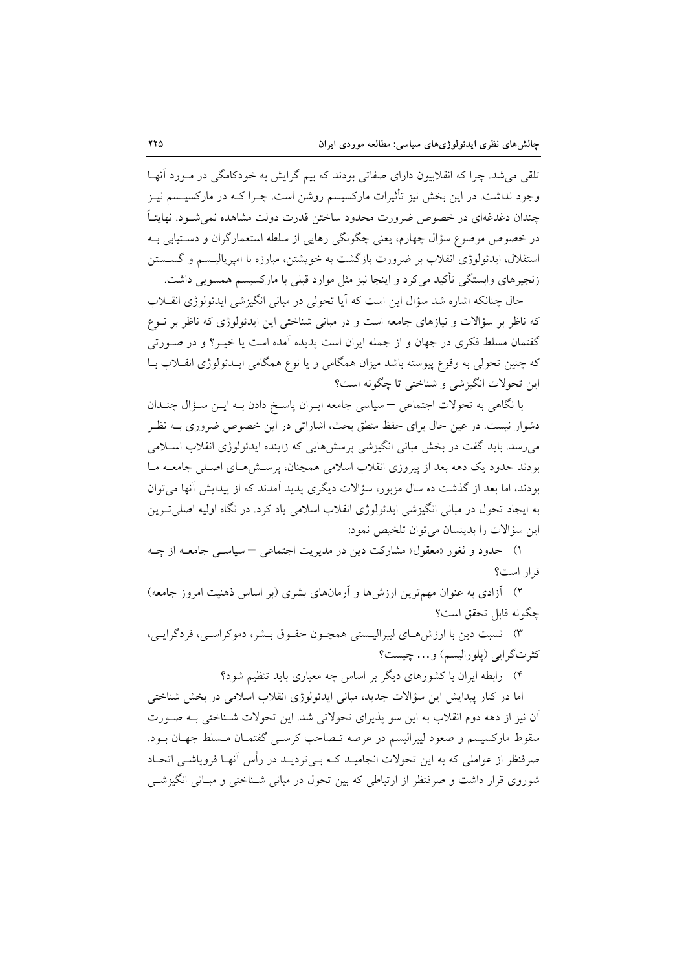تلقی می شد. چرا که انقلابیون دارای صفاتی بودند که بیم گرایش به خودکامگی در مـورد آنهـا وجود نداشت. در این بخش نیز تأثیرات مارکسیسم روشن است. چـرا کـه در مارکسیـسم نیـز چندان دغدغهای در خصوص ضرورت محدود ساختن قدرت دولت مشاهده نمی شــود. نهایتــاً در خصوص موضوع سؤال چهارم، یعنی چگونگی رهایی از سلطه استعمارگران و دسـتیابی بــه استقلال، ايدئولوژي انقلاب بر ضرورت بازگشت به خويشتن، مبارزه با اميرياليــسم و گســستن زنجیرهای وابستگی تأکید میکرد و اینجا نیز مثل موارد قبلی با مارکسیسم همسویی داشت.

حال چنانکه اشاره شد سؤال این است که آیا تحولی در مبانی انگیزشی ایدئولوژی انقــلاب که ناظر بر سؤالات و نیازهای جامعه است و در مبانی شناختی این ایدئولوژی که ناظر بر نــوع گفتمان مسلط فکری در جهان و از جمله ایران است پدیده آمده است یا خیـر؟ و در صـورتی که چنین تحولی به وقوع پیوسته باشد میزان همگامی و یا نوع همگامی ایــدئولوژی انقــلاب بــا این تحولات انگیزشی و شناختی تا چگونه است؟

با نگاهی به تحولات اجتماعی – سیاسی جامعه ایـران پاسـخ دادن بـه ایـن سـؤال چنـدان دشوار نیست. در عین حال برای حفظ منطق بحث، اشاراتی در این خصوص ضروری بـه نظـر میرسد. باید گفت در بخش مبانی انگیزشی پرسشهایی که زاینده ایدئولوژی انقلاب اسـلامی بودند حدود یک دهه بعد از پیروزی انقلاب اسلامی همچنان، پرستش هـای اصـلی جامعـه مـا بودند، اما بعد از گذشت ده سال مزبور، سؤالات دیگری پدید آمدند که از پیدایش آنها می توان به ایجاد تحول در مبانی انگیزشی ایدئولوژی انقلاب اسلامی یاد کرد. در نگاه اولیه اصلی تـرین اين سؤالات را بدينسان مي توان تلخيص نمود:

۱) حدود و ثغور «معقول» مشارکت دین در مدیریت اجتماعی – سیاسبی جامعـه از چـه قرار است؟

۲) آزادی به عنوان مهمترین ارزشها و آرمانهای بشری (بر اساس ذهنیت امروز جامعه) چگونه قابل تحقق است؟

۳) نسبت دین با ارزش هـاي ليبراليـستي همچـون حقـوق بـشر، دموكراسـي، فردگرايـي، كثرت گرايي (يلوراليسم) و... چيست؟

۴) - رابطه ایران با کشورهای دیگر بر اساس چه معیاری باید تنظیم شود؟

اما در کنار پیدایش این سؤالات جدید، مبانی ایدئولوژی انقلاب اسلامی در بخش شناختی آن نیز از دهه دوم انقلاب به این سو پذیرای تحولاتی شد. این تحولات شـناختی بـه صـورت سقوط ماركسيسم و صعود ليبراليسم در عرصه تـصاحب كرسـي گفتمـان مـسلط جهـان بـود. صرفنظر از عواملی که به این تحولات انجامیـد کـه بـیتردیـد در رأس آنهـا فروپاشـی اتحـاد شوروی قرار داشت و صرفنظر از ارتباطی که بین تحول در مبانی شـناختی و مبـانی انگیزشــی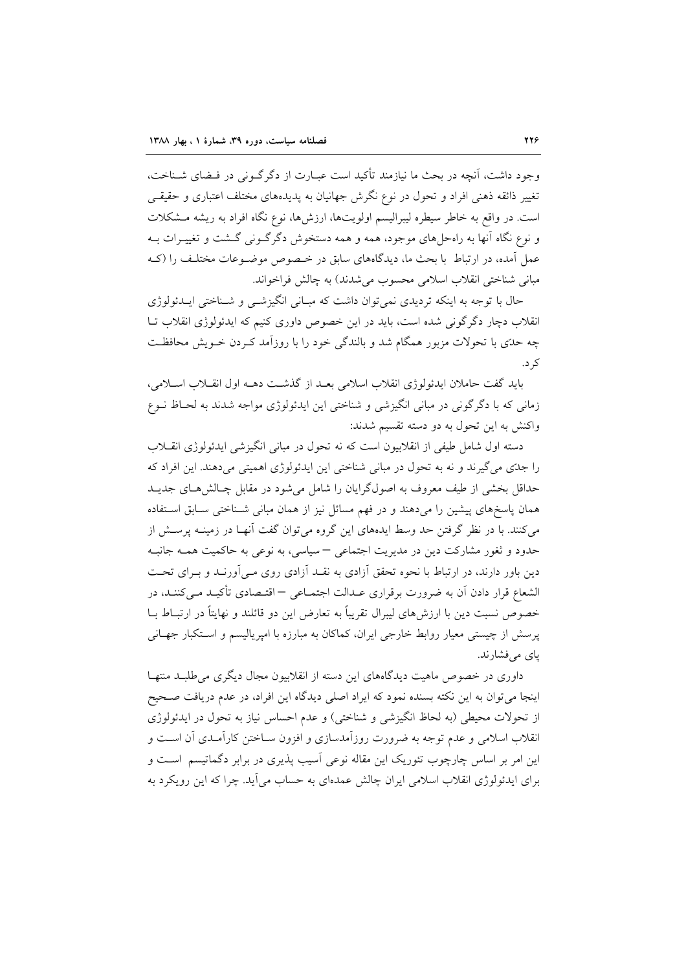وجود داشت، آنچه در بحث ما نیازمند تأکید است عبـارت از دگر گـونی در فـضای شـناخت، تغییر ذائقه ذهنی افراد و تحول در نوع نگرش جهانیان به پدیدههای مختلف اعتباری و حقیقـی است. در واقع به خاطر سیطره لیبرالیسم اولویتها، ارزشها، نوع نگاه افراد به ریشه مشکلات و نوع نگاه آنها به راهحلهای موجود، همه و همه دستخوش دگرگونی گشت و تغییـرات بـه عمل آمده، در ارتباط با بحث ما، دیدگاههای سابق در خـصوص موضـوعات مختلـف را (کـه مباني شناختي انقلاب اسلامي محسوب مي شدند) به چالش فراخواند.

حال با توجه به اینکه تردیدی نمی توان داشت که مبانی انگیزشمی و شـناختی ایــدئولوژی انقلاب دچار دگرگونی شده است، باید در این خصوص داوری کنیم که ایدئولوژی انقلاب تـا چه حدّی با تحولات مزبور همگام شد و بالندگی خود را با روزآمد کـردن خــویش محافظـت ک د.

بايد گفت حاملان ايدئولوژي انقلاب اسلامي بعـد از گذشـت دهــه اول انقــلاب اســلامي، زمانی که با دگرگونی در مبانی انگیزشی و شناختی این ایدئولوژی مواجه شدند به لحـاظ نــوع واکنش به این تحول به دو دسته تقسیم شدند:

دسته اول شامل طیفی از انقلابیون است که نه تحول در مبانی انگیزشی ایدئولوژی انقــلاب را جدّی می گیرند و نه به تحول در مبانی شناختی این ایدئولوژی اهمیتی میدهند. این افراد که حداقل بخشی از طیف معروف به اصولگرایان را شامل می شود در مقابل چـالش هـای جدیــد همان پاسخهای پیشین را میدهند و در فهم مسائل نیز از همان مبانی شـناختی سـابق اسـتفاده می کنند. با در نظر گرفتن حد وسط ایدههای این گروه می توان گفت آنهـا در زمینــه پرســش از حدود و ثغور مشارکت دین در مدیریت اجتماعی – سیاسی، به نوعی به حاکمیت همـه جانبـه دین باور دارند، در ارتباط با نحوه تحقق آزادی به نقـد آزادی روی مـی آورنـد و بـرای تحـت الشعاع قرار دادن آن به ضرورت برقراري عـدالت اجتمــاعي – اقتــصادي تأكيــد مــيكننــد، در خصوص نسبت دین با ارزشهای لیبرال تقریباً به تعارض این دو قائلند و نهایتاً در ارتبــاط بــا پرسش از چیستی معیار روابط خارجی ایران، کماکان به مبارزه با امپریالیسم و استکبار جهـانی ياي مي فشارند.

داوری در خصوص ماهیت دیدگاههای این دسته از انقلابیون مجال دیگری می طلبـد منتهـا اینجا می توان به این نکته بسنده نمود که ایراد اصلی دیدگاه این افراد، در عدم دریافت صـحیح از تحولات محیطی (به لحاظ انگیزشی و شناختی) و عدم احساس نیاز به تحول در ایدئولوژی انقلاب اسلامی و عدم توجه به ضرورت روزآمدسازی و افزون سـاختن کارآمـدی آن اسـت و این امر بر اساس چارچوب تئوریک این مقاله نوعی آسیب پذیری در برابر دگماتیسم است و برای ایدئولوژی انقلاب اسلامی ایران چالش عمدهای به حساب میآید. چرا که این رویکرد به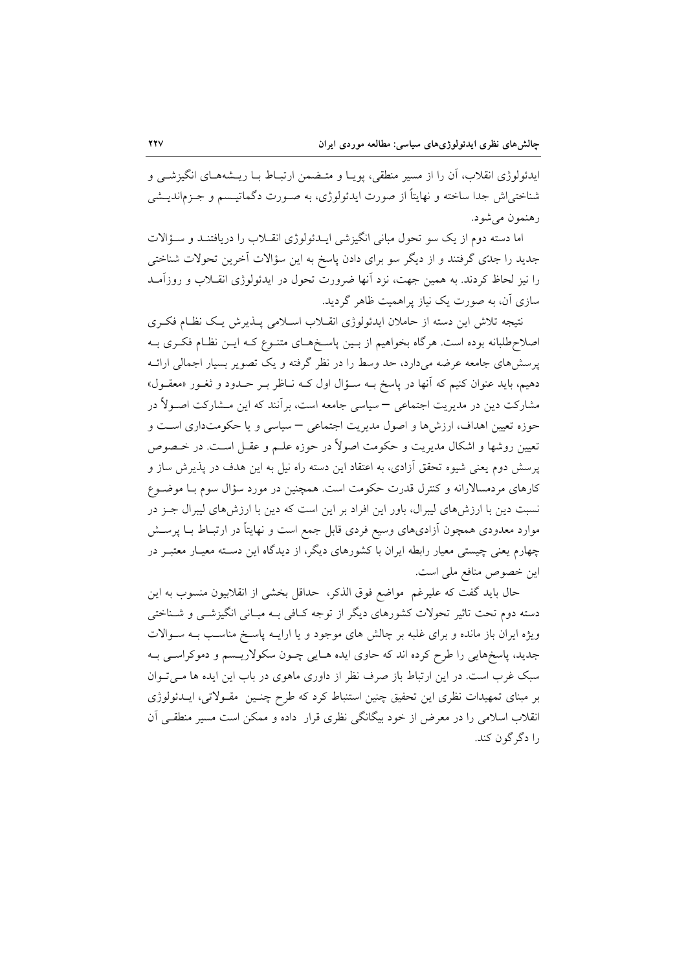ایدئولوژی انقلاب، اَن را از مسیر منطقی، پویـا و متـضمن ارتبـاط بـا ریـشههـای انگیزشــی و شناختی|ش جدا ساخته و نهایتاً از صورت ایدئولوژی، به صـورت دگماتیـسم و جـزم|ندیـشی رهنمون مي شود.

اما دسته دوم از یک سو تحول مبانی انگیزشی ایــدئولوژی انقــلاب را دریافتنــد و ســؤالات جدید را جدّی گرفتند و از دیگر سو برای دادن پاسخ به این سؤالات آخرین تحولات شناختی را نیز لحاظ کردند. به همین جهت، نزد آنها ضرورت تحول در ایدئولوژی انقــلاب و روزآمــد سازی آن، به صورت یک نیاز پراهمیت ظاهر گردید.

نتيجه تلاش اين دسته از حاملان ايدئولوژي انقــلاب اســلامي پــذيرش يـك نظــام فكــرى اصلاح،طلبانه بوده است. هرگاه بخواهیم از بـین پاسـخهـای متنـوع کـه ایـن نظـام فکـری بـه پرسشهای جامعه عرضه میدارد، حد وسط را در نظر گرفته و یک تصویر بسیار اجمالی ارائـه دهیم، باید عنوان کنیم که آنها در پاسخ بـه سـؤال اول کــه نــاظر بــر حــدود و ثغــور «معقــول» مشارکت دین در مدیریت اجتماعی – سیاسی جامعه است، برآنند که این مــشارکت اصــولاً در حوزه تعیین اهداف، ارزشها و اصول مدیریت اجتماعی – سیاسی و یا حکومتداری است و تعیین روشها و اشکال مدیریت و حکومت اصولاً در حوزه علـم و عقـل اسـت. در خـصوص پرسش دوم یعنی شیوه تحقق آزادی، به اعتقاد این دسته راه نیل به این هدف در پذیرش ساز و کارهای مردمسالارانه و کنترل قدرت حکومت است. همچنین در مورد سؤال سوم بــا موضــوع نسبت دین با ارزشهای لیبرال، باور این افراد بر این است که دین با ارزشهای لیبرال جـز در موارد معدودی همچون آزادیهای وسیع فردی قابل جمع است و نهایتاً در ارتبـاط بــا پرســش چهارم یعنی چیستی معیار رابطه ایران با کشورهای دیگر، از دیدگاه این دسته معیـار معتبـر در اين خصوص منافع ملي است.

حال بايد گفت كه عليرغم مواضع فوق الذكر، حداقل بخشى از انقلابيون منسوب به اين دسته دوم تحت تاثیر تحولات کشورهای دیگر از توجه کـافی بـه مبـانی انگیزشـی و شـناختی ویژه ایران باز مانده و برای غلبه بر چالش های موجود و یا ارایــه پاســخ مناسـب بــه ســوالات جدید، پاسخهایی را طرح کرده اند که حاوی ایده هـایی چـون سکولاریـسم و دموکراسـی بـه سبک غرب است. در این ارتباط باز صرف نظر از داوری ماهوی در باب این ایده ها مـی تـوان بر مبنای تمهیدات نظری این تحفیق چنین استنباط کرد که طرح چنـین مقـولاتی، ایــدئولوژی انقلاب اسلامی را در معرض از خود بیگانگی نظری قرار داده و ممکن است مسیر منطقی آن را دگر گون کند.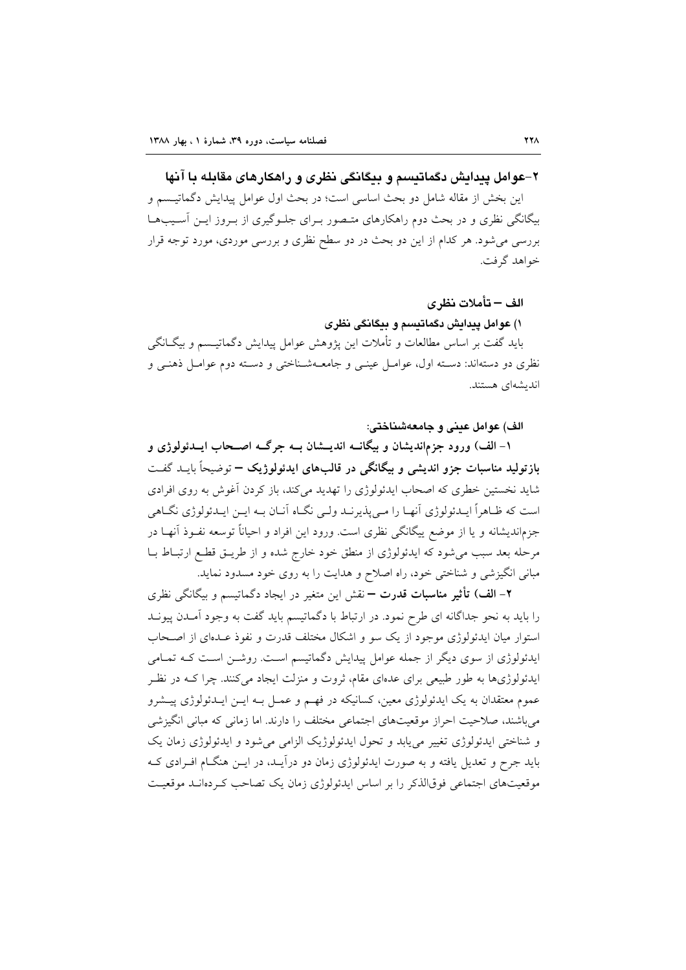۲-عوامل پیدایش دگماتیسم و بیگانگی نظری و راهکارهای مقابله با آنها

اين بخش از مقاله شامل دو بحث اساسي است؛ در بحث اول عوامل پيدايش دگماتيـسم و بیگانگی نظری و در بحث دوم راهکارهای متصور بـرای جلـوگیری از بـروز ایـن آسـیبهـا بررسی می شود. هر کدام از این دو بحث در دو سطح نظری و بررسی موردی، مورد توجه قرار خواهد گرفت.

#### الف – تأملات نظر ي

۱) عوامل پیدایش دگماتیسم و بیگانگی نظری

بايد گفت بر اساس مطالعات و تأملات اين پژوهش عوامل پيدايش دگماتيــسم و بيگــانگـي نظری دو دستهاند: دسته اول، عوامـل عینـی و جامعــهشـناختی و دسـته دوم عوامـل ذهنـی و اندىشەاي ھستند.

الف) عوامل عيني و جامعهشناختي:

۱– الف) ورود جزماندیشان و بیگانــه اندیـــشان بــه جرگــه اصـــحاب ایـــدئولوژی و بازتولید مناسبات جزو اندیشی و بیگانگی در قالبهای ایدئولوژیک – توضیحاً بایــد گفــت شاید نخستین خطری که اصحاب ایدئولوژی را تهدید میکند، باز کردن آغوش به روی افرادی است که ظـاهراً ایـدئولوژی آنهـا را مـی پذیرنـد ولـی نگـاه آنـان بـه ایـن ایـدئولوژی نگـاهی جزماندیشانه و یا از موضع پیگانگی نظری است. ورود این افراد و احیاناً توسعه نفـوذ آنهـا در مرحله بعد سبب می شود که ایدئولوژی از منطق خود خارج شده و از طریـق قطـع ارتبـاط بــا مبانی انگیزشی و شناختی خود، راه اصلاح و هدایت را به روی خود مسدود نماید.

۲– الف) تأثیر مناسبات قدرت — نقش این متغیر در ایجاد دگماتیسم و بیگانگی نظری را باید به نحو جداگانه ای طرح نمود. در ارتباط با دگماتیسم باید گفت به وجود آمـدن پیونـد استوار میان ایدئولوژی موجود از یک سو و اشکال مختلف قدرت و نفوذ عـدهای از اصـحاب ایدئولوژی از سوی دیگر از جمله عوامل پیدایش دگماتیسم است. روشـن اسـت کـه تمـامی ایدئولوژیها به طور طبیعی برای عدهای مقام، ثروت و منزلت ایجاد می کنند. چرا کـه در نظـر عموم معتقدان به یک ایدئولوژی معین، کسانیکه در فهـم و عمـل بـه ایــن ایــدئولوژی پیــشرو می باشند، صلاحیت احراز موقعیتهای اجتماعی مختلف را دارند. اما زمانی که مبانی انگیزشی و شناختی ایدئولوژی تغییر می یابد و تحول ایدئولوژیک الزامی می شود و ایدئولوژی زمان یک باید جرح و تعدیل یافته و به صورت ایدئولوژی زمان دو درآیید، در این هنگیام افیرادی کیه موقعیتهای اجتماعی فوقالذکر را بر اساس ایدئولوژی زمان یک تصاحب کـردهانــد موقعیــت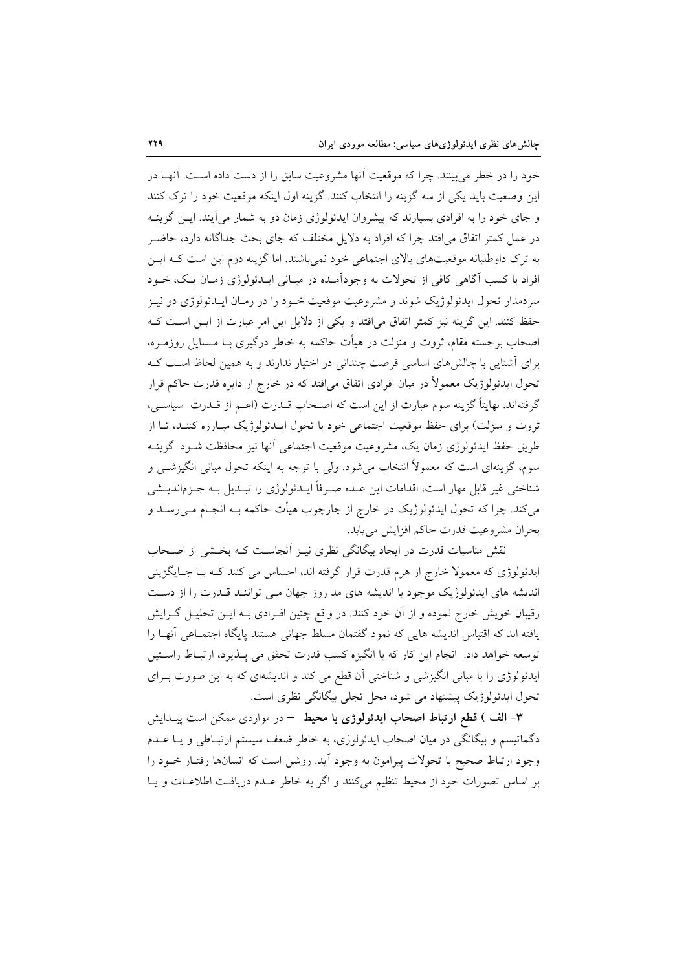خود را در خطر می بینند. چرا که موقعیت آنها مشروعیت سابق را از دست داده اسـت. آنهــا در این وضعیت باید یکی از سه گزینه را انتخاب کنند. گزینه اول اینکه موقعیت خود را ترک کنند و جای خود را به افرادی بسیارند که پیشروان ایدئولوژی زمان دو به شمار می آیند. ایــن گزینــه در عمل کمتر اتفاق می|فتد چرا که افراد به دلایل مختلف که جای بحث جداگانه دارد، حاضـر به ترک داوطلبانه موقعیتهای بالای اجتماعی خود نمی باشند. اما گزینه دوم این است کـه ایــن افراد با کسب اگاهی کافی از تحولات به وجودآمـده در مبـانی ایــدئولوژی زمـان یـک، خــود سردمدار تحول ايدئولوژيک شوند و مشروعيت موقعيت خـود را در زمـان ايــدئولوژي دو نيــز حفظ کنند. این گزینه نیز کمتر اتفاق می|فتد و یکی از دلایل این امر عبارت از ایــن اســت کــه اصحاب برجسته مقام، ثروت و منزلت در هیأت حاکمه به خاطر درگیری بـا مــسایل روزمــره، برای آشنایی با چالشهای اساسی فرصت چندانی در اختیار ندارند و به همین لحاظ است ک تحول ایدئولوژیک معمولاً در میان افرادی اتفاق می|فتد که در خارج از دایره قدرت حاکم قرار گرفتهاند. نهایتاً گزینه سوم عبارت از این است که اصـحاب قــدرت (اعــم از قــدرت سیاســی، ثروت و منزلت) برای حفظ موقعیت اجتماعی خود با تحول ایـدئولوژیک مبـارزه کننـد، تـا از طريق حفظ ايدئولوژي زمان يک، مشروعيت موقعيت اجتماعي أنها نيز محافظت شـود. گزينــه سوم، گزینهای است که معمولاً انتخاب میشود. ولی با توجه به اینکه تحول مبانی انگیزشــی و شناختی غیر قابل مهار است، اقدامات این عـده صـرفاً ایــدئولوژی را تبـدیل بــه جـزماندیــشی میکند. چرا که تحول ایدئولوژیک در خارج از چارچوب هیأت حاکمه بـه انجـام مــی(ســد و بحران مشروعيت قدرت حاكم افزايش مي يابد.

نقش مناسبات قدرت در ایجاد بیگانگی نظری نیـز آنجاسـت کـه بخـشی از اصـحاب ایدئولوژی که معمولا خارج از هرم قدرت قرار گرفته اند، احساس می کنند کـه بـا جـایگزینی اندیشه های ایدئولوژیک موجود با اندیشه های مد روز جهان مـی تواننـد قـدرت را از دسـت رقیبان خویش خارج نموده و از آن خود کنند. در واقع چنین افـرادی بــه ایــن تحلیــل گــرایش یافته اند که اقتباس اندیشه هایی که نمود گفتمان مسلط جهانی هستند پایگاه اجتمـاعی آنهـا را توسعه خواهد داد. انجام این کار که با انگیزه کسب قدرت تحقق می پـذیرد، ارتبـاط راسـتین ایدئولوژی را با مبانی انگیزشی و شناختی آن قطع می کند و اندیشهای که به این صورت بـرای تحول ایدئولوژیک پیشنهاد می شود، محل تجلی بیگانگی نظری است.

۳- الف ) قطع ارتباط اصحاب ایدئولوژی با محیط = در مواردی ممکن است پیـدایش دگماتیسم و بیگانگی در میان اصحاب ایدئولوژی، به خاطر ضعف سیستم ارتبـاطی و یـا عــدم وجود ارتباط صحيح با تحولات پيرامون به وجود آيد. روشن است كه انسانها رفتـار خــود را بر اساس تصورات خود از محیط تنظیم میکنند و اگر به خاطر عـدم دریافـت اطلاعـات و پـا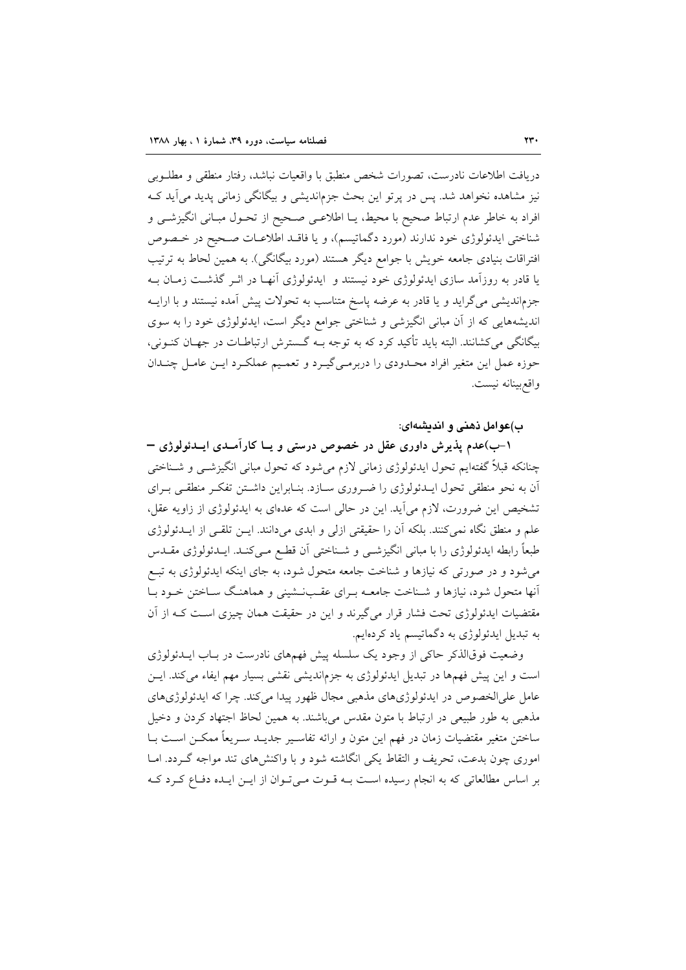دريافت اطلاعات نادرست، تصورات شخص منطبق با واقعيات نباشد، رفتار منطقى و مطلـوبى نیز مشاهده نخواهد شد. پس در پرتو این بحث جزماندیشی و بیگانگی زمانی پدید می آید ک افراد به خاطر عدم ارتباط صحیح با محیط، یــا اطلاعـی صـحیح از تحــول مبــانی انگیزشــی و شناختی ایدئولوژی خود ندارند (مورد دگماتیسم)، و یا فاقـد اطلاعـات صـحیح در خـصوص افتراقات بنیادی جامعه خویش با جوامع دیگر هستند (مورد بیگانگی). به همین لحاط به ترتیب یا قادر به روزآمد سازی ایدئولوژی خود نیستند و ایدئولوژی آنهـا در اثـر گذشـت زمـان بـه جزماندیشی می گراید و یا قادر به عرضه پاسخ متناسب به تحولات پیش آمده نیستند و با ارایـه اندیشههایی که از آن مبانی انگیزشی و شناختی جوامع دیگر است، ایدئولوژی خود را به سوی بیگانگی میکشانند. البته باید تأکید کرد که به توجه بـه گـسترش ارتباطـات در جهـان کنــونی، حوزه عمل این متغیر افراد محـدودي را دربرمـي&پـرد و تعمـيم عملكـرد ايـن عامـل چنـدان واقع بينانه نيست.

ب)عوامل ذهني و انديشهاي:

۱–ب)عدم پذیرش داوری عقل در خصوص درستی و یــا کارآمــدی ایــدئولوژی = چنانکه قبلاً گفتهایم تحول ایدئولوژی زمانی لازم میشود که تحول مبانی انگیزشــی و شــناختی آن به نحو منطقی تحول ایـدئولوژی را ضـروری سـازد. بنـابراین داشـتن تفکـر منطقـی بـرای تشخیص این ضرورت، لازم می آید. این در حالی است که عدمای به ایدئولوژی از زاویه عقل، علم و منطق نگاه نمیکنند. بلکه اَن را حقیقتی ازلی و ابدی میدانند. ایــن تلقــی از ایــدئولوژی طبعاً رابطه ایدئولوژی را با مبانی انگیزشـی و شــناختی آن قطـع مـیکنـد. ایــدئولوژی مقــدس می شود و در صورتی که نیازها و شناخت جامعه متحول شود، به جای اینکه ایدئولوژی به تبـع آنها متحول شود، نیازها و شـناخت جامعـه بـرای عقـبـنـشینی و هماهنـگ سـاختن خـود بـا مقتضیات ایدئولوژی تحت فشار قرار میگیرند و این در حقیقت همان چیزی اسـت کـه از آن به تبدیل ایدئولوژی به دگماتیسم یاد کردهایم.

وضعیت فوقالذکر حاکی از وجود یک سلسله پیش فهمهای نادرست در بـاب ایــدئولوژی است و این پیش فهمها در تبدیل ایدئولوژی به جزماندیشی نقشی بسیار مهم ایفاء میکند. ایـن عامل علىالخصوص در ايدئولوژيهاي مذهبي مجال ظهور پيدا مي كند. چرا كه ايدئولوژيهاي مذهبي به طور طبيعي در ارتباط با متون مقدس مي باشند. به همين لحاظ اجتهاد كردن و دخيل ساختن متغير مقتضيات زمان در فهم اين متون و ارائه تفاسـير جديــد سـريعاً ممكــن اســت بــا اموری چون بدعت، تحریف و التقاط یکی انگاشته شود و با واکنش های تند مواجه گـردد. امــا بر اساس مطالعاتی که به انجام رسیده است بـه قـوت مـیتوان از ایـن ایـده دفـاع کـرد کـه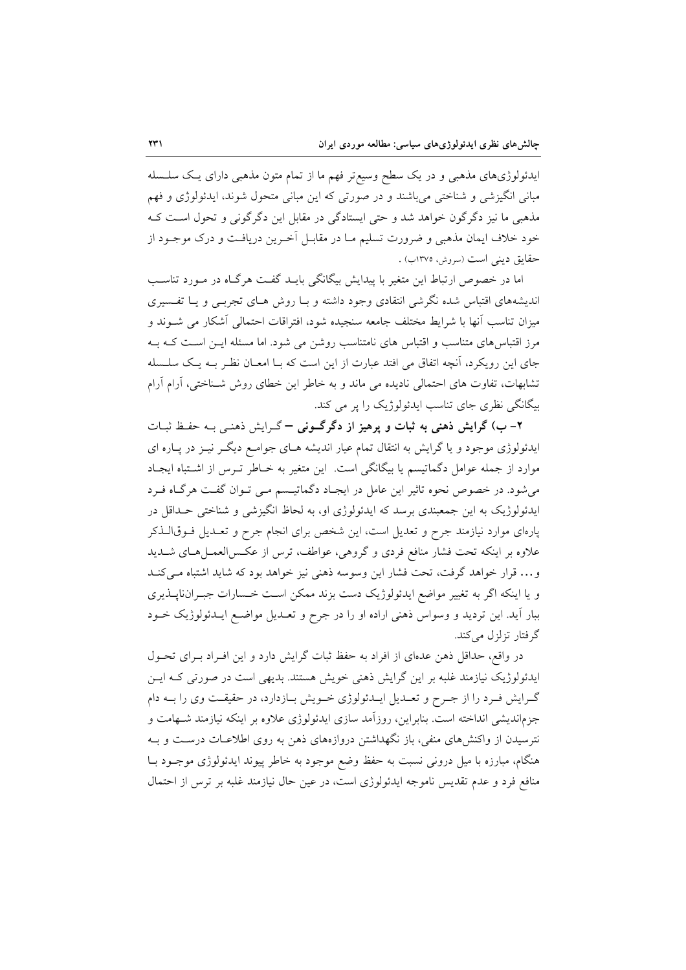ایدئولوژیهای مذهبی و در یک سطح وسیع تر فهم ما از تمام متون مذهبی دارای یک سلسله مباني انگيزشي و شناختي مي باشند و در صورتي كه اين مباني متحول شوند، ايدئولوژي و فهم مذهبی ما نیز دگرگون خواهد شد و حتی ایستادگی در مقابل این دگرگونی و تحول است ک خود خلاف ايمان مذهبي و ضرورت تسليم مـا در مقابـل آخـرين دريافـت و درک موجـود از حقايق ديني است (سروش، ١٣٧٥ب) .

اما در خصوص ارتباط این متغیر با پیدایش بیگانگی بایـد گفـت هرگـاه در مـورد تناسـب اندیشههای اقتباس شده نگرشی انتقادی وجود داشته و بـا روش هـای تجربـی و یـا تفـسیری میزان تناسب آنها با شرایط مختلف جامعه سنجیده شود، افتراقات احتمالی آشکار می شــوند و مرز اقتباسهای متناسب و اقتباس های نامتناسب روشن می شود. اما مسئله ایـن اسـت کـه بـه جای این رویکرد، آنچه اتفاق می افتد عبارت از این است که بـا امعـان نظـر بـه یـک سلـسله تشابهات، تفاوت های احتمالی نادیده می ماند و به خاطر این خطای روش شـناختی، آرام آرام بیگانگی نظری جای تناسب ایدئولوژیک را پر می کند.

۲-ب) گرایش ذهنی به ثبات و پرهیز از دگرگونی – گرایش ذهنبی بـه حفظ ثبـات ایدئولوژی موجود و یا گرایش به انتقال تمام عیار اندیشه هـای جوامـع دیگـر نیــز در پــاره ای موارد از جمله عوامل دگماتیسم یا بیگانگی است. این متغیر به خـاطر تـرس از اشـتباه ایجـاد می شود. در خصوص نحوه تاثیر این عامل در ایجاد دگماتیسم مـی تـوان گفـت هرگـاه فـرد ایدئولوژیک به این جمعبندی برسد که ایدئولوژی او، به لحاظ انگیزشی و شناختی حـداقل در پارهای موارد نیازمند جرح و تعدیل است، این شخص برای انجام جرح و تعـدیل فـوقالــذکر علاوه بر اینکه تحت فشار منافع فردی و گروهی، عواطف، ترس از عکـس|لعمـلهـای شــدید و… قرار خواهد گرفت، تحت فشار این وسوسه ذهنی نیز خواهد بود که شاید اشتباه می کنـد و یا اینکه اگر به تغییر مواضع ایدئولوژیک دست بزند ممکن است خـسارات جبـرانiاپــذیری ببار آيد. اين ترديد و وسواس ذهني اراده او را در جرح و تعـديل مواضـع ايــدئولوژيک خــود گر فتار تزلزل می کند.

در واقع، حداقل ذهن عدهاى از افراد به حفظ ثبات گرايش دارد و اين افـراد بـراى تحـول ایدئولوژیک نیازمند غلبه بر این گرایش ذهنی خویش هستند. بدیهی است در صورتی کـه ایـن گـرايش فـرد را از جـرح و تعـديل ايـدئولوژي خـويش بـازدارد، در حقيقـت وي را بـه دام جزماندیشی انداخته است. بنابراین، روزآمد سازی ایدئولوژی علاوه بر اینکه نیازمند شـهامت و نترسیدن از واکنش های منفی، باز نگهداشتن دروازههای ذهن به روی اطلاعـات درسـت و بـه هنگام، مبارزه با میل درونی نسبت به حفظ وضع موجود به خاطر پیوند ایدئولوژی موجــود بــا منافع فرد و عدم تقدیس ناموجه ایدئولوژی است، در عین حال نیازمند غلبه بر ترس از احتمال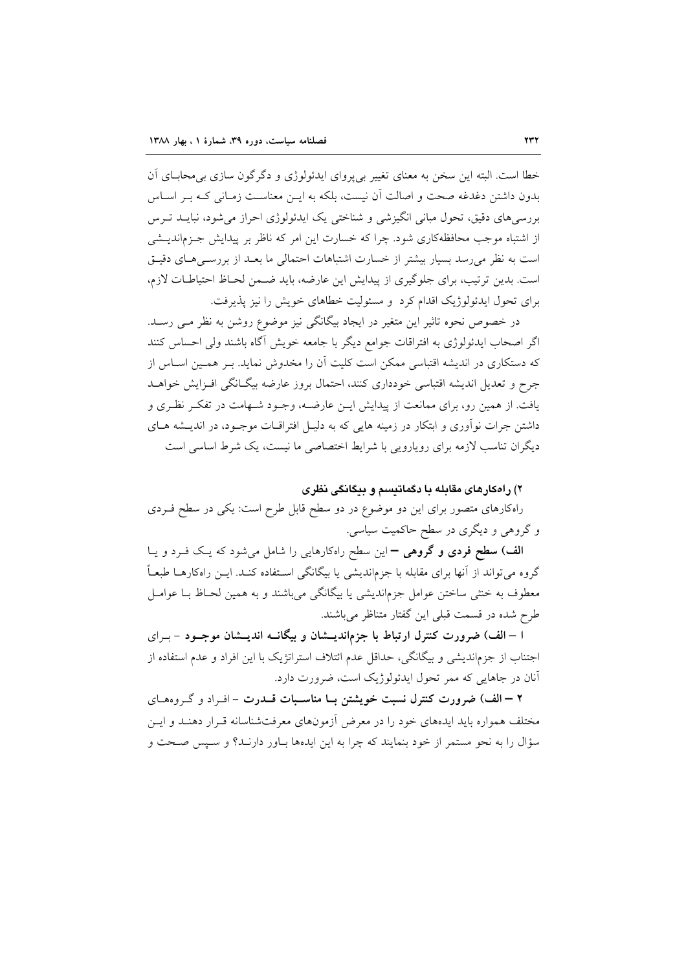خطا است. البته این سخن به معنای تغییر بیپروای ایدئولوژی و دگرگون سازی بی محابای آن بدون داشتن دغدغه صحت و اصالت آن نسبت، بلکه به این معناست زمیانی کیه پ اسیاس بررسیهای دقیق، تحول مبانی انگیزشی و شناختی یک ایدئولوژی احراز می شود، نبایــد تــرس از اشتباه موجب محافظهکاری شود. چرا که خسارت این امر که ناظر بر پیدایش جـزماندیــشی است به نظر می رسد بسیار بیشتر از خسارت اشتباهات احتمالی ما بعـد از بررسـی هـای دقیـق است. بدین ترتیب، برای جلوگیری از پیدایش این عارضه، باید ضمن لحـاظ احتیاطـات لازم، برای تحول ایدئولوژیک اقدام کرد و مسئولیت خطاهای خویش را نیز پذیرفت.

در خصوص نحوه تاثیر این متغیر در ایجاد بیگانگی نیز موضوع روشن به نظر مـی رسـد. اگر اصحاب ایدئولوژی به افتراقات جوامع دیگر با جامعه خویش آگاه باشند ولی احساس کنند که دستکاری در اندیشه اقتباسی ممکن است کلیت آن را مخدوش نماید. بـر همـین اسـاس از جرح و تعدیل اندیشه اقتباسی خودداری کنند، احتمال بروز عارضه بیگـانگی افـزایش خواهــد یافت. از همین رو، برای ممانعت از پیدایش ایـن عارضـه، وجـود شـهامت در تفکـر نظـری و داشتن جرات نوآوری و ابتکار در زمینه هایی که به دلیـل افتراقــات موجــود، در اندیــشه هــای دیگران تناسب لازمه برای رویارویی با شرایط اختصاصی ما نیست، یک شرط اساسی است

### ۲) راهکارهای مقابله با دگماتیسم و بیگانگی نظری

راهکارهای متصور برای این دو موضوع در دو سطح قابل طرح است: یکی در سطح فـردی و گروهی و دیگری در سطح حاکمیت سیاسی.

الف) سطح فردی و گروهی = این سطح راهکارهایی را شامل می شود که یک فـرد و یـا گروه میتواند از آنها برای مقابله با جزماندیشی یا بیگانگی اسـتفاده کنــد. ایــن راهکارهــا طبعــاً معطوف به خنثی ساختن عوامل جزماندیشی یا بیگانگی می باشند و به همین لحـاظ بــا عوامــل طرح شده در قسمت قبلی این گفتار متناظر میباشند.

ا – الف) ضرورت کنترل ارتباط با جزماندیـــشان و بیگانـــه اندیـــشان موجـــود – بــرای اجتناب از جزماندیشی و بیگانگی، حداقل عدم ائتلاف استراتژیک با این افراد و عدم استفاده از آنان در جاهایی که ممر تحول ایدئولوژیک است، ضرورت دارد.

۲ – الف) ضرورت کنترل نسبت خویشتن بــا مناســبات قــدرت – افـراد و گــروههــای مختلف همواره باید ایدههای خود را در معرض آزمونهای معرفتشناسانه قـرار دهنـد و ایـن سؤال را به نحو مستمر از خود بنمایند که چرا به این ایدهها بـاور دارنـد؟ و سـپس صـحت و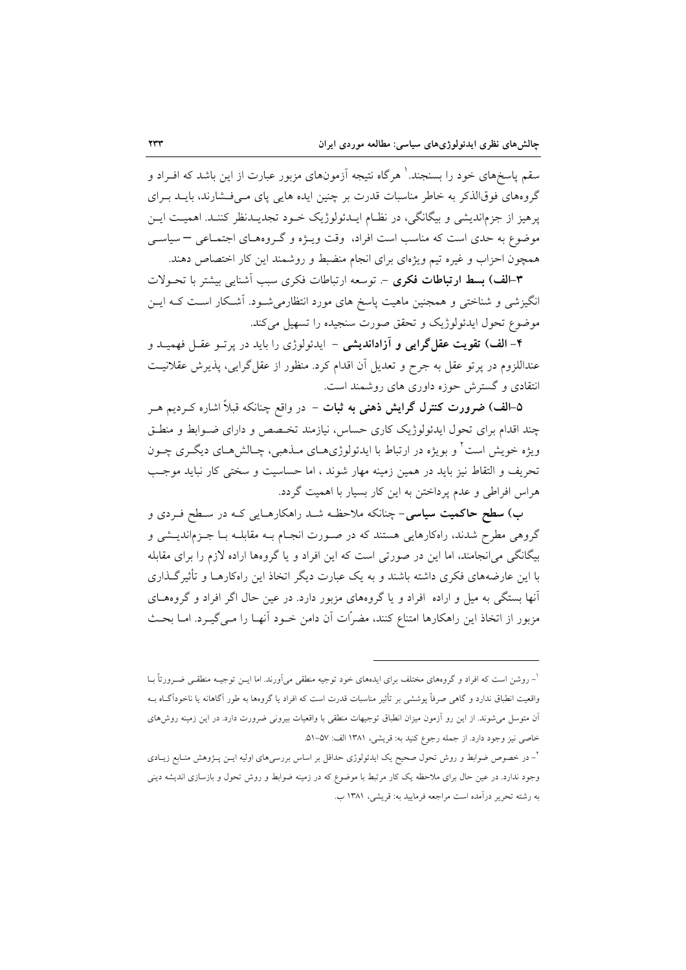سقم پاسخهای خود را بسنجند. ۵ هرگاه نتیجه آزمونهای مزبور عبارت از این باشد که افـراد و گروههای فوقالذکر به خاطر مناسبات قدرت بر چنین ایده هایی پای مهی فشارند، بایلد بهرای پرهیز از جزم|ندیشی و بیگانگی، در نظـام ایــدئولوژیک خــود تجدیــدنظر کننــد. اهمیــت ایــن موضوع به حدی است که مناسب است افراد، وقت ویـژه و گـروههـای اجتمـاعی – سیاســی همچون احزاب و غیره تیم ویژهای برای انجام منضبط و روشمند این کار اختصاص دهند.

۳–الف) بسط ارتباطات فكرى – توسعه ارتباطات فكرى سبب أشنايي بيشتر با تحـولات انگیزشی و شناختی و همجنین ماهیت پاسخ های مورد انتظارمیشـود. آشـکار اسـت کـه ایـن موضوع تحول ايدئولوژيک و تحقق صورت سنجيده را تسهيل مي کند.

۴- الف) تقویت عقل گرایی و آزاداندیشی – ایدئولوژی را باید در پرتـو عقـل فهمیـد و عنداللزوم در پرتو عقل به جرح و تعدیل آن اقدام کرد. منظور از عقل گرایی، پذیرش عقلانیت انتقادی و گسترش حوزه داوری های روشمند است.

۵–الف) ضرورت کنترل گرایش ذهنی به ثبات – در واقع چنانکه قبلاً اشاره کـردیم هــر چند اقدام برای تحول ایدئولوژیک کاری حساس، نیازمند تخصص و دارای ضـوابط و منطـق ویژه خویش است ٔ و بویژه در ارتباط با ایدئولوژیهـای مـذهبی، چـالش۵حـای دیگـری چـون تحریف و التقاط نیز باید در همین زمینه مهار شوند ، اما حساسیت و سختی کار نباید موجب هراس افراطی و عدم پرداختن به این کار بسیار با اهمیت گردد.

ب) **سطح حاکمیت سیاسی**– چنانکه ملاحظـه شــد راهکارهـای<sub>ی</sub> کــه در سـطح فــردی و گروهی مطرح شدند، راهکارهایی هستند که در صـورت انجـام بـه مقابلـه بـا جـزماندیــشی و بیگانگی میانجامند، اما این در صورتی است که این افراد و یا گروهها اراده لازم را برای مقابله با این عارضههای فکری داشته باشند و به یک عبارت دیگر اتخاذ این راهکارهــا و تأثیر گــذاری آنها بستگی به میل و اراده افراد و یا گروههای مزبور دارد. در عین حال اگر افراد و گروههـای مزبور از اتخاذ این راهکارها امتناع کنند، مضرّات آن دامن خـود آنهـا را مـی&ـرد. امـا بحـث

<sup>&</sup>lt;sup>ا</sup>– روشن است که افراد و گروههای مختلف برای ایدههای خود توجیه منطقی میآورند. اما ایـن توجیــه منطقــی ضــرورتاً بــا واقعیت انطباق ندارد و گاهی صرفاً پوششی بر تأثیر مناسبات قدرت است که افراد یا گروهها به طور آگاهانه یا ناخودآگIه بـه آن متوسل می شوند. از این رو اَزمون میزان انطباق توجیهات منطقی با واقعیات بیرونی ضرورت دارد. در این زمینه روش های خاصي نيز وجود دارد. از جمله رجوع كنيد به: قريشي، ١٣٨١ الف: ٥٧-٥١.

<sup>&</sup>lt;sup>۲</sup>– در خصوص ضوابط و روش تحول صحیح یک ایدئولوژی حداقل بر اساس بررسی۵ای اولیه ایــن پــژوهش منــابع زیــادی وجود ندارد. در عین حال برای ملاحظه یک کار مرتبط با موضوع که در زمینه ضوابط و روش تحول و بازسازی اندیشه دینی به رشته تحریر درآمده است مراجعه فرمایید به: قریشی، ۱۳۸۱ ب.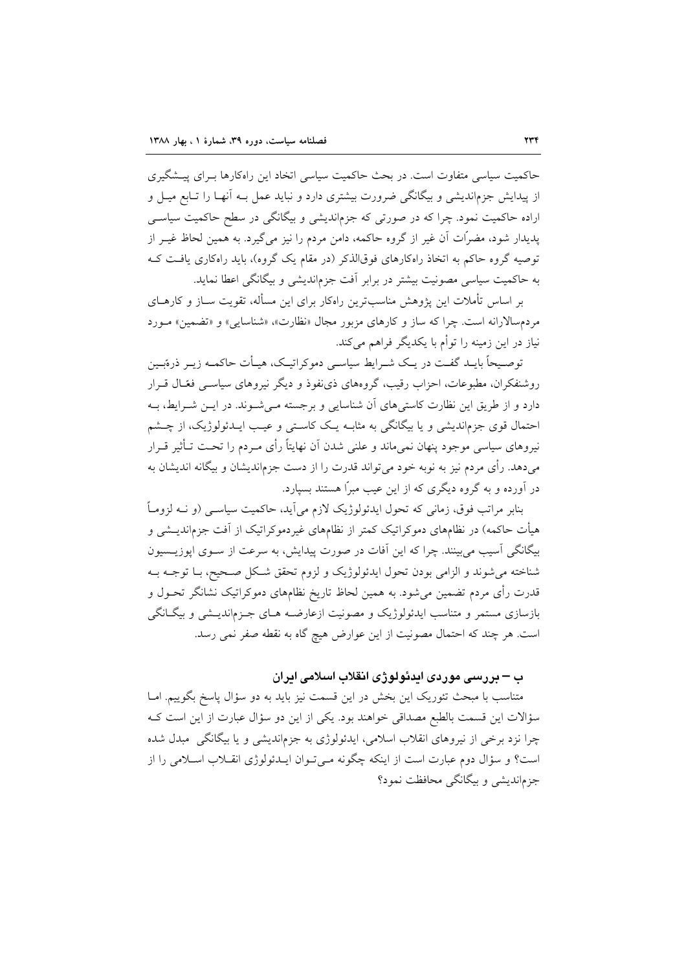حاکمیت سیاسی متفاوت است. در بحث حاکمیت سیاسی اتخاد این راهکارها بـرای پیــشگیری از پیدایش جزماندیشی و بیگانگی ضرورت بیشتری دارد و نباید عمل بـه آنهـا را تــابع میــل و اراده حاکمیت نمود. چرا که در صورتی که جزماندیشی و بیگانگی در سطح حاکمیت سیاسی پدیدار شود، مضرّات آن غیر از گروه حاکمه، دامن مردم را نیز میگیرد. به همین لحاظ غیـر از توصیه گروه حاکم به اتخاذ راهکارهای فوقالذکر (در مقام یک گروه)، باید راهکاری یافت ک به حاکمیت سیاسی مصونیت بیشتر در برابر آفت جزماندیشی و بیگانگی اعطا نماید.

بر اساس تأملات این پژوهش مناسبترین راهکار برای این مسأله، تقویت سـاز و کارهــای مردم سالارانه است. چرا که ساز و کارهای مزبور مجال «نظارت»، «شناسایی» و «تضمین» مـورد نیاز در این زمینه را توأم با یکدیگر فراهم میکند.

توصـیحاً بایــد گفــت در یــک شــرایط سیاســی دموکراتیــک، هیــأت حاکمــه زیــر ذرهبَــین روشنفکران، مطبوعات، احزاب رقیب، گروههای ذی نفوذ و دیگر نیروهای سیاسـی فعّـال قــرار دارد و از طریق این نظارت کاستیهای آن شناسایی و برجسته مـیشـوند. در ایـن شـرایط، بـه احتمال قوی جزماندیشی و یا بیگانگی به مثابـه یـک کاسـتی و عیـب ایــدئولوژیک، از چــشم نیروهای سیاسی موجود پنهان نمیماند و علنی شدن آن نهایتاً رأی مـردم را تحـت تـأثیر قـرار میدهد. رأی مردم نیز به نوبه خود میتواند قدرت را از دست جزماندیشان و بیگانه اندیشان به در آورده و به گروه دیگری که از این عیب مبراً هستند بسیارد.

بنابر مراتب فوق، زمانی که تحول ایدئولوژیک لازم می]ید، حاکمیت سیاســی (و نــه لزومــاً هیأت حاکمه) در نظامهای دموکراتیک کمتر از نظامهای غیردموکراتیک از آفت جزماندیــشی و بیگانگی آسیب می بینند. چرا که این آفات در صورت پیدایش، به سرعت از سـوی اپوزیـسیون شناخته می شوند و الزامی بودن تحول ایدئولوژیک و لزوم تحقق شکل صـحیح، بــا توجــه بــه قدرت رأی مردم تضمین می شود. به همین لحاظ تاریخ نظامهای دموکراتیک نشانگر تحـول و بازسازی مستمر و متناسب ایدئولوژیک و مصونیت ازعارضـه هـای جـزماندیــشی و بیگــانگی است. هر چند که احتمال مصونیت از این عوارض هیچ گاه به نقطه صفر نمی رسد.

ب – پررسی موردی ایدئولوژی انقلاب اسلامی ایران

متناسب با مبحث تئوریک این بخش در این قسمت نیز باید به دو سؤال پاسخ بگوییم. امــا سؤالات این قسمت بالطبع مصداقی خواهند بود. یکی از این دو سؤال عبارت از این است کـه چرا نزد برخی از نیروهای انقلاب اسلامی، ایدئولوژی به جزماندیشی و یا بیگانگی ٍ مبدل شده است؟ و سؤال دوم عبارت است از اینکه چگونه مـیتـوان ایـدئولوژی انقــلاب اسـلامی را از جزم اندیشی و بیگانگی محافظت نمود؟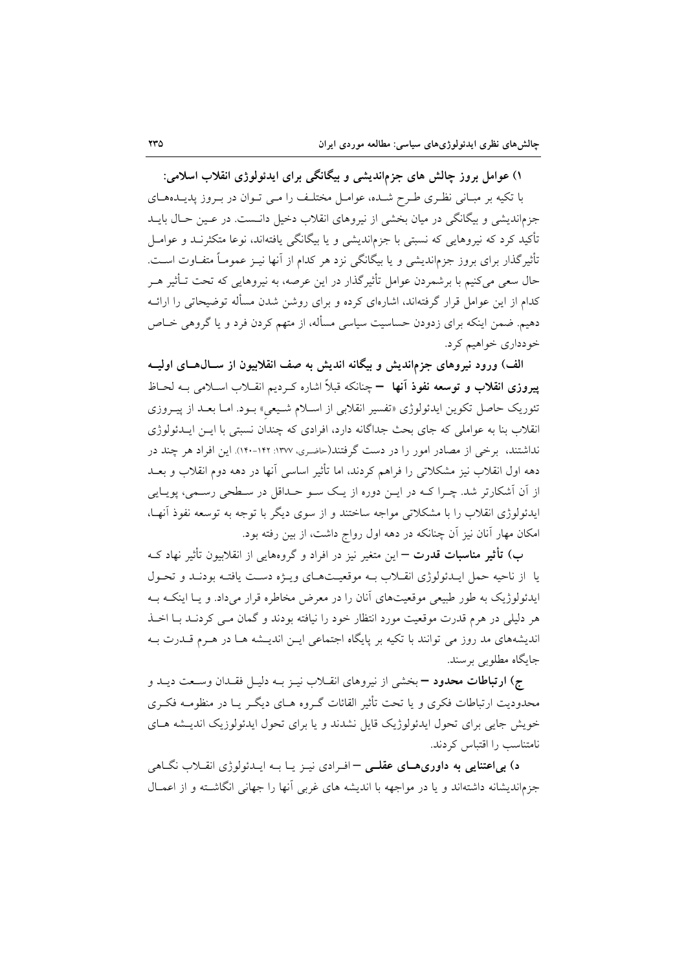۱) عوامل بروز چالش های جزماندیشی و بیگانگی برای ایدئولوژی انقلاب اسلامی: با تکیه بر مبـانی نظـری طـرح شـده، عوامـل مختلـف را مـی تـوان در بـروز پدیـدههـای جزماندیشی و بیگانگی در میان بخشی از نیروهای انقلاب دخیل دانست. در عـین حـال بایــد تأکید کرد که نیروهایی که نسبتی با جزماندیشی و یا بیگانگی یافتهاند، نوعا متکثرنـد و عوامـل تأثیر گذار برای بروز جزم|ندیشی و یا بیگانگی نزد هر کدام از آنها نیـز عمومـاً متفـاوت اسـت. حال سعی میکنیم با برشمردن عوامل تأثیرگذار در این عرصه، به نیروهایی که تحت تـأثیر هــر کدام از این عوامل قرار گرفتهاند، اشارهای کرده و برای روشن شدن مسأله توضیحاتی را ارائـه دهیم. ضمن اینکه برای زدودن حساسیت سیاسی مسأله، از متهم کردن فرد و یا گروهی خیاص خودداري خواهيم كړد.

الف) ورود نیروهای جزماندیش و بیگانه اندیش به صف انقلابیون از ســال۱صـای اولیــه پیروزی انقلاب و توسعه نفوذ آنها – چنانکه قبلاً اشاره کـردیم انقــلاب اســلامی بــه لحــاظ تئوریک حاصل تکوین ایدئولوژی «تفسیر انقلابی از اسلام شـیعی» بـود. امـا بعـد از پیـروزی انقلاب بنا به عواملی که جای بحث جداگانه دارد، افرادی که چندان نسبتی با ایــن ایــدئولوژی نداشتند، برخی از مصادر امور را در دست گرفتند(حاضری، ۱۳۷۷: ۱۴۲-۱۴۰). این افراد هر چند در دهه اول انقلاب نیز مشکلاتی را فراهم کردند، اما تأثیر اساسی آنها در دهه دوم انقلاب و بعــد از آن آشکارتر شد. چـرا کـه در ايــن دوره از يـک ســو حــداقل در ســطحى رســمى، يويــايى ایدئولوژی انقلاب را با مشکلاتی مواجه ساختند و از سوی دیگر با توجه به توسعه نفوذ آنهـا، امکان مهار آنان نیز آن چنانکه در دهه اول رواج داشت، از بین رفته بود.

ب) **تأثیر مناسبات قدرت** — این متغیر نیز در افراد و گروههایی از انقلابیون تأثیر نهاد ک یا از ناحیه حمل ایـدئولوژی انقــلاب بــه موقعیــتهــای ویـــژه دســت یافتــه بودنــد و تحــول ایدئولوژیک به طور طبیعی موقعیتهای آنان را در معرض مخاطره قرار میداد. و یـا اینکـه بــه هر دلیلی در هرم قدرت موقعیت مورد انتظار خود را نیافته بودند و گمان مـی کردنـد بـا اخـذ اندیشههای مد روز می توانند با تکیه بر پایگاه اجتماعی ایـن اندیـشه هـا در هـرم قــدرت بــه جايگاه مطلوبي برسند.

ج) ا**رتباطات محدود –** بخشی از نیروهای انقـلاب نیـز بـه دلیـل فقـدان وسـعت دیـد و محدودیت ارتباطات فکری و یا تحت تأثیر القائات گـروه هــای دیگـر یــا در منظومــه فکـری خویش جایی برای تحول ایدئولوژیک قایل نشدند و یا برای تحول ایدئولوزیک اندیــشه هــای نامتناسب را اقتباس کردند.

د) بیاعتنایی به داوریهـای عقلــی – افـرادی نیـز یـا بـه ایـدئولوژی انقـلاب نگـاهی جزماندیشانه داشتهاند و یا در مواجهه با اندیشه های غربی آنها را جهانی انگاشته و از اعمـال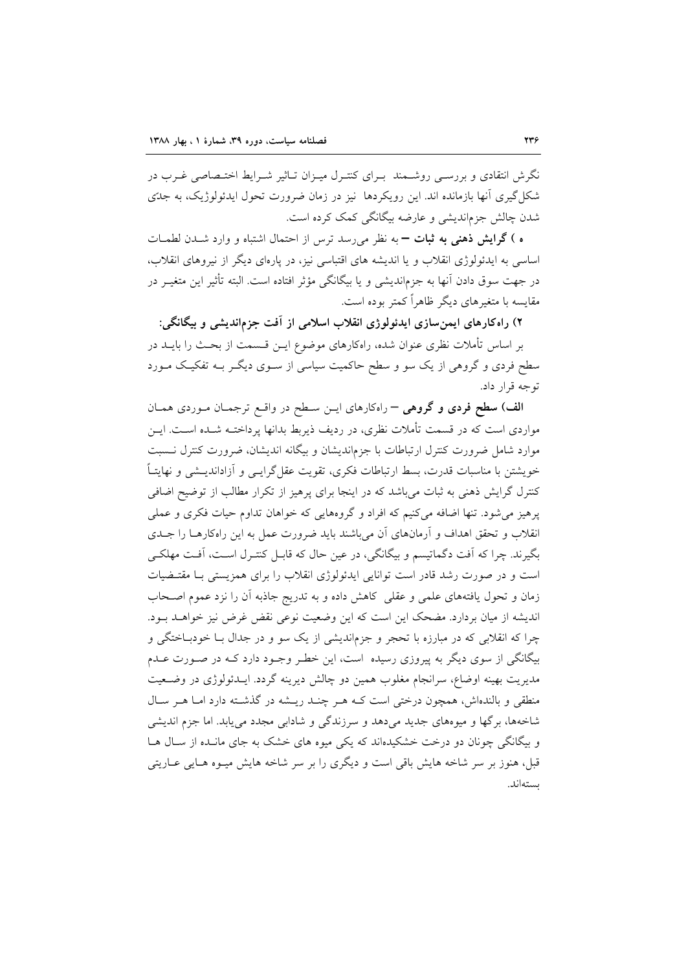نگرش انتقادی و بررسبی روشـمند بـرای کنتـرل میـزان تـاثیر شـرایط اختـصاصی غـرب در شکا گیری آنها بازمانده اند. این رویکردها نیز در زمان ضرورت تحول ایدئولوژیک، به جدّی شدن چالش جزماندیشی و عارضه بیگانگی کمک کرده است.

ه ) گرایش ذهنی به ثبات – به نظر میرسد ترس از احتمال اشتباه و وارد شـدن لطمـات اساسی به ایدئولوژی انقلاب و یا اندیشه های اقتباسی نیز، در پارهای دیگر از نیروهای انقلاب، در جهت سوق دادن آنها به جزماندیشی و یا بیگانگی مؤثر افتاده است. البته تأثیر این متغیـر در مقایسه با متغیرهای دیگر ظاهراً کمتر بوده است.

۲) راهکارهای ایمن سازی ایدئولوژی انقلاب اسلامی از آفت جزماندیشی و بیگانگی:

بر اساس تأملات نظری عنوان شده، راهکارهای موضوع ایــن قــسمت از بحــث را بایــد در سطح فردی و گروهی از یک سو و سطح حاکمیت سیاسی از سـوی دیگـر بـه تفکیـک مـورد توجه قرار داد.

الف) سطح فردي و گروهي – راهكارهاي ايـن سـطح در واقـع ترجمـان مـوردي همـان مواردی است که در قسمت تأملات نظری، در ردیف ذیربط بدانها پرداختـه شــده اســت. ایــن موارد شامل ضرورت كنترل ارتباطات با جزمانديشان و بيگانه انديشان، ضرورت كنترل نــسبت خویشتن با مناسبات قدرت، بسط ارتباطات فکری، تقویت عقل گرایــی و آزاداندیــشی و نهایتــاً کنترل گرایش ذهنی به ثبات می باشد که در اینجا برای پرهیز از تکرار مطالب از توضیح اضافی پرهيز مي شود. تنها اضافه مي کنيم که افراد و گروههايي که خواهان تداوم حيات فکري و عملي انقلاب و تحقق اهداف و آرمانهای آن میباشند باید ضرورت عمل به این راهکارهـا را جـدی بگیرند. چرا که آفت دگماتیسم و بیگانگی، در عین حال که قابـل کنتـرل اسـت، آفـت مهلکـی است و در صورت رشد قادر است توانایی ایدئولوژی انقلاب را برای همزیستی بـا مقتـضیات زمان و تحول یافتههای علمی و عقلی کاهش داده و به تدریج جاذبه آن را نزد عموم اصـحاب اندیشه از میان بردارد. مضحک این است که این وضعیت نوعی نقض غرض نیز خواهـد بـود. چرا که انقلابی که در مبارزه با تحجر و جزماندیشی از یک سو و در جدال بـا خودبـاختگی و بیگانگی از سوی دیگر به پیروزی رسیده است، این خطر وجـود دارد کـه در صـورت عـدم مدیریت بهینه اوضاع، سرانجام مغلوب همین دو چالش دیرینه گردد. ایــدئولوژی در وضـعیت منطقی و بالندهاش، همچون درختی است کـه هـر چنـد ریـشه در گذشـته دارد امـا هـر سـال شاخهها، برگها و میوههای جدید میدهد و سرزندگی و شادابی مجدد می یابد. اما جزم اندیشی و بیگانگی چونان دو درخت خشکیدهاند که یکی میوه های خشک به جای مانـده از سـال هـا قبل، هنوز بر سر شاخه هایش باقی است و دیگری را بر سر شاخه هایش میـوه هـایی عـاریتی بستهاند.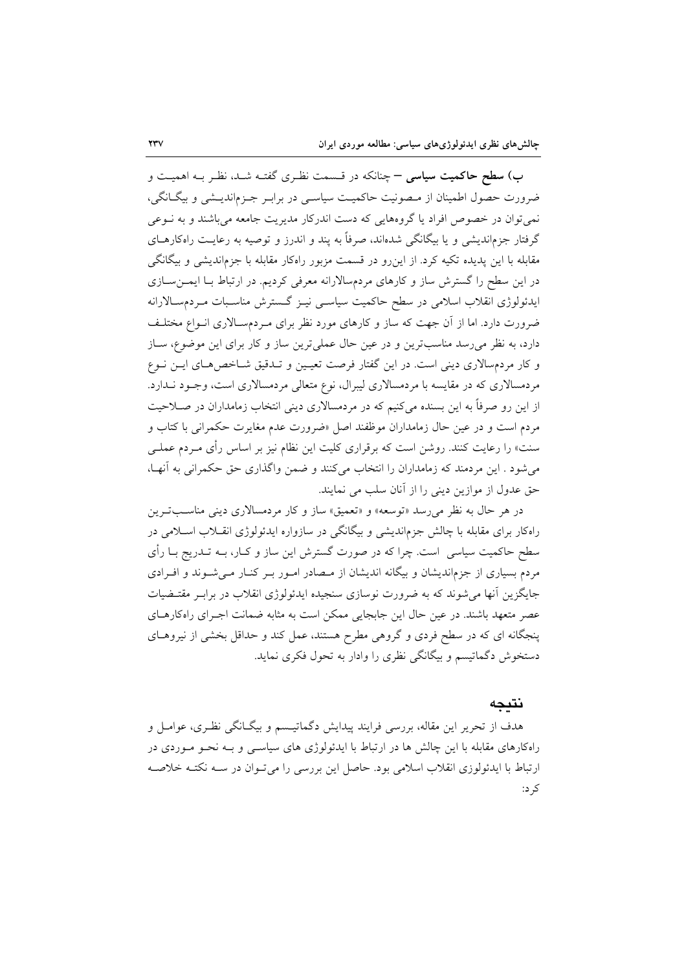ب) **سطح حاکمیت سیاسی –** چنانکه در قسمت نظـری گفتـه شـد، نظـر بـه اهمیـت و ضرورت حصول اطمینان از مصونیت حاکمیت سیاسی در برابر جـزماندیـشی و بیگـانگی، نمی توان در خصوص افراد یا گروههایی که دست اندرکار مدیریت جامعه میباشند و به نـوعی گرفتار جزماندیشی و یا بیگانگی شدهاند، صرفاً به پند و اندرز و توصیه به رعایـت راهکارهــای مقابله با این پدیده تکیه کرد. از این رو در قسمت مزبور راهکار مقابله با جزماندیشی و بیگانگی در این سطح را گسترش ساز و کارهای مردمسالارانه معرفی کردیم. در ارتباط بـا ایمــنســازی ایدئولوژی انقلاب اسلامی در سطح حاکمیت سیاسی نیـز گـسترش مناسـبات مـردمسـالارانه ضرورت دارد. اما از آن جهت که ساز و کارهای مورد نظر برای مـردمسـالاری انــواع مختلــف دارد، به نظر می رسد مناسبترین و در عین حال عملی ترین ساز و کار برای این موضوع، سـاز و کار مردمسالاری دینی است. در این گفتار فرصت تعیین و تـدقیق شـاخصهـای ایـن نـوع مردمسالاری که در مقایسه با مردمسالاری لیبرال، نوع متعالی مردمسالاری است، وجـود نـدارد. از این رو صرفاً به این بسنده میکنیم که در مردمسالاری دینی انتخاب زمامداران در صـلاحیت مردم است و در عین حال زمامداران موظفند اصل «ضرورت عدم مغایرت حکمرانی با کتاب و سنت» را رعایت کنند. روشن است که برقراری کلیت این نظام نیز بر اساس رأی مـردم عملـی می شود . این مردمند که زمامداران را انتخاب می کنند و ضمن واگذاری حق حکمرانی به آنهـا، حق عدول از موازين ديني را از آنان سلب مي نمايند.

در هر حال به نظر می رسد «توسعه» و «تعمیق» ساز و کار مردمسالاری دینی مناسبترین راهکار برای مقابله با چالش جزماندیشی و بیگانگی در سازواره ایدئولوژی انقـلاب اسـلامی در سطح حاکمیت سیاسی ِ است. چرا که در صورت گسترش این ساز و کـار، بــه تــدریج بــا رأی مردم بسیاری از جزم|ندیشان و بیگانه اندیشان از مـصادر امـور بـر کنـار مـی شـوند و افـرادی جایگزین آنها می شوند که به ضرورت نوسازی سنجیده ایدئولوژی انقلاب در برابـر مقتـضیات عصر متعهد باشند. در عین حال این جابجایی ممکن است به مثابه ضمانت اجـرای راهکارهـای ینجگانه ای که در سطح فردی و گروهی مطرح هستند، عمل کند و حداقل بخشی از نیروهـای دستخوش دگماتیسم و بیگانگی نظری را وادار به تحول فکری نماید.

#### نتىجە

هدف از تحریر این مقاله، بررسی فرایند پیدایش دگماتیـسم و بیگـانگی نظـری، عوامـل و راهکارهای مقابله با این چالش ها در ارتباط با ایدئولوژی های سیاســی و بــه نحــو مــوردی در ارتباط با ایدئولوزی انقلاب اسلامی بود. حاصل این بررسی را می توان در سـه نکتـه خلاصـه ک د: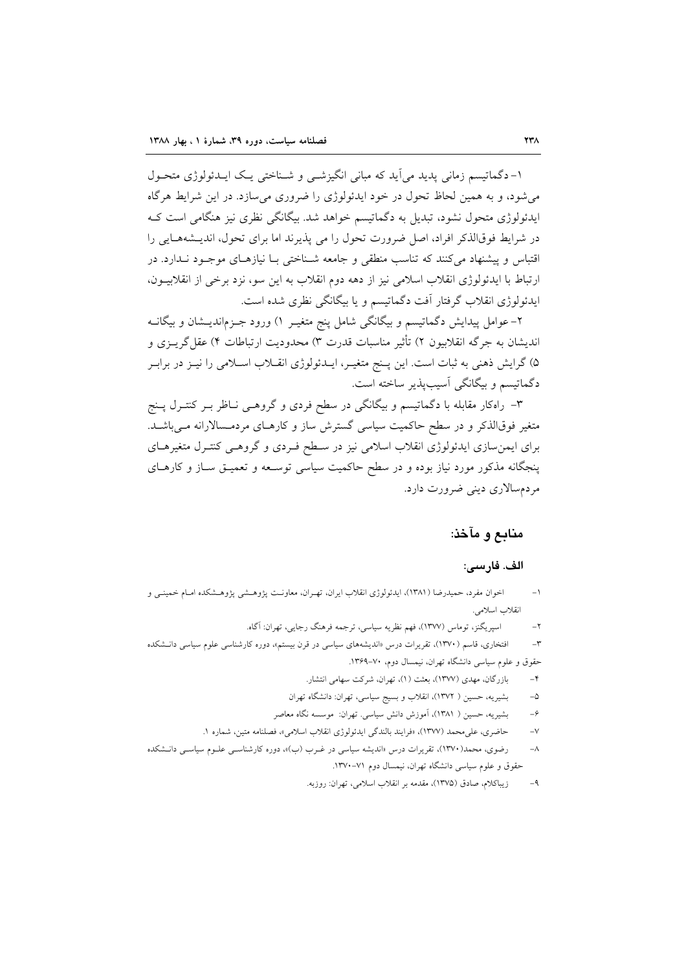١-دگماتيسم زماني پديد مي آيد كه مباني انگيزشـي و شـناختي يـك ايــدئولوژي متحـول می شود، و به همین لحاظ تحول در خود ایدئولوژی را ضروری می سازد. در این شرایط هر گاه ایدئولوژی متحول نشود، تبدیل به دگماتیسم خواهد شد. بیگانگی نظری نیز هنگامی است ک در شرایط فوقالذکر افراد، اصل ضرورت تحول را می پذیرند اما برای تحول، اندیـشههـایی را اقتباس و پیشنهاد می کنند که تناسب منطقی و جامعه شـناختی بـا نیازهـای موجـود نـدارد. در ارتباط با ایدئولوژی انقلاب اسلامی نیز از دهه دوم انقلاب به این سو، نزد برخی از انقلابیــون، ایدئولوژی انقلاب گرفتار آفت دگماتیسم و یا بیگانگی نظری شده است.

۲- عوامل پیدایش دگماتیسم و بیگانگی شامل پنج متغیـر ۱) ورود جـزم|ندیــشان و بیگانــه اندیشان به جرگه انقلابیون ۲) تأثیر مناسبات قدرت ۳) محدودیت ارتباطات ۴) عقل گریـزی و ۵) گرایش ذهنی به ثبات است. این پـنج متغیـر، ایــدئولوژی انقــلاب اســلامی را نیــز در برابــر دگماتيسم و بيگانگي آسيبيذير ساخته است.

۳– راهکار مقابله با دگماتیسم و بیگانگی در سطح فردی و گروهــی نــاظر بــر کنتــرل پــنج متغیر فوقالذکر و در سطح حاکمیت سیاسی گسترش ساز و کارهـای مردمـسالارانه مـیباشـد. برای ایمن سازی ایدئولوژی انقلاب اسلامی نیز در سـطح فـردی و گروهـی کنتـرل متغیرهـای پنجگانه مذکور مورد نیاز بوده و در سطح حاکمیت سیاسی توسـعه و تعمیـق سـاز و کارهـای مردمسالاري دينې ضرورت دارد.

## منابع و مآخذ:

#### الف. فارسي:

- اخوان مفرد، حمیدرضا (۱۳۸۱)، ایدئولوژی انقلاب ایران، تهـران، معاونـت پژوهـشی پژوهـشکده امـام خمینـی و  $-1$ انقلاب اسلامي.
	- اسيريگنز، توماس (١٣٧٧)، فهم نظريه سياسي، ترجمه فرهنگ رجايي، تهران: آگاه.  $-\gamma$
- افتخاری، قاسم (۱۳۷۰)، تقریرات درس «اندیشههای سیاسی در قرن بیستم»، دوره کارشناسی علوم سیاسی دانـشکده  $-\mathsf{r}$ حقوق و علوم سیاسی دانشگاه تهران، نیمسال دوم، ۷۰–۱۳۶۹.
	- بازرگان، مهدی (۱۳۷۷)، بعثت (۱)، تهران، شرکت سهامی انتشار.  $-\epsilon$
	- بشیریه، حسین ( ۱۳۷۲)، انقلاب و بسیج سیاسی، تهران: دانشگاه تهران  $-\mathsf{Q}$
	- بشیریه، حسین ( ۱۳۸۱)، آموزش دانش سیاسی. تهران: موسسه نگاه معاصر  $-\hat{r}$
	- حاضري، على محمد (١٣٧٧)، «فرايند بالندگي ايدئولوژي انقلاب اسلامي»، فصلنامه متين، شماره ١.  $-V$
- رضوی، محمد(۱۳۷۰)، تقریرات درس «اندیشه سیاسی در غـرب (ب)»، دوره کارشناسـی علــوم سیاســی دانــشکده  $-\lambda$ حقوق و علوم سیاسی دانشگاه تهران، نیمسال دوم ۷۱–۱۳۷۰.
	- زیباکلام، صادق (۱۳۷۵)، مقدمه بر انقلاب اسلامی، تهران: روزبه.  $-9$